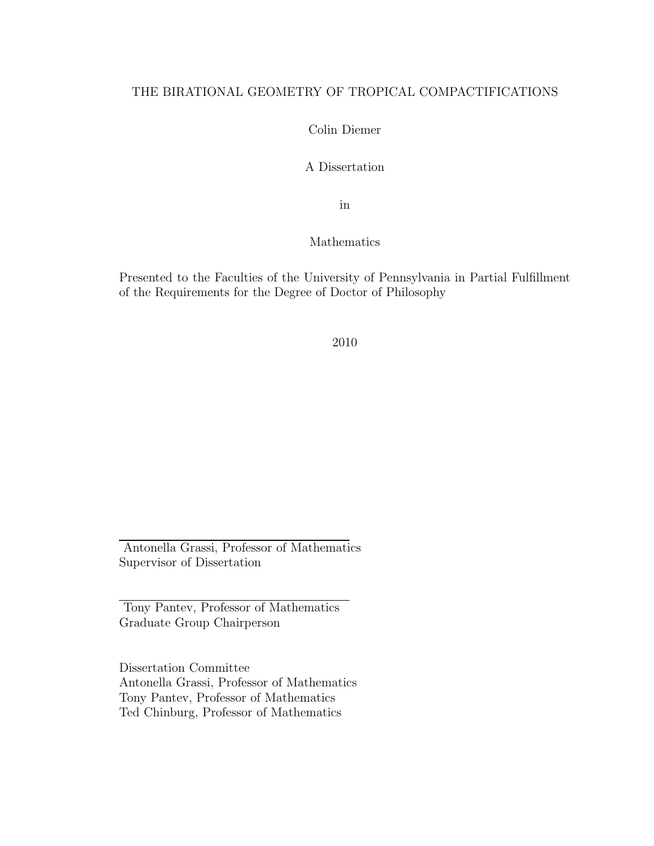### THE BIRATIONAL GEOMETRY OF TROPICAL COMPACTIFICATIONS

Colin Diemer

A Dissertation

in

Mathematics

Presented to the Faculties of the University of Pennsylvania in Partial Fulfillment of the Requirements for the Degree of Doctor of Philosophy

2010

Antonella Grassi, Professor of Mathematics Supervisor of Dissertation

Tony Pantev, Professor of Mathematics Graduate Group Chairperson

Dissertation Committee Antonella Grassi, Professor of Mathematics Tony Pantev, Professor of Mathematics Ted Chinburg, Professor of Mathematics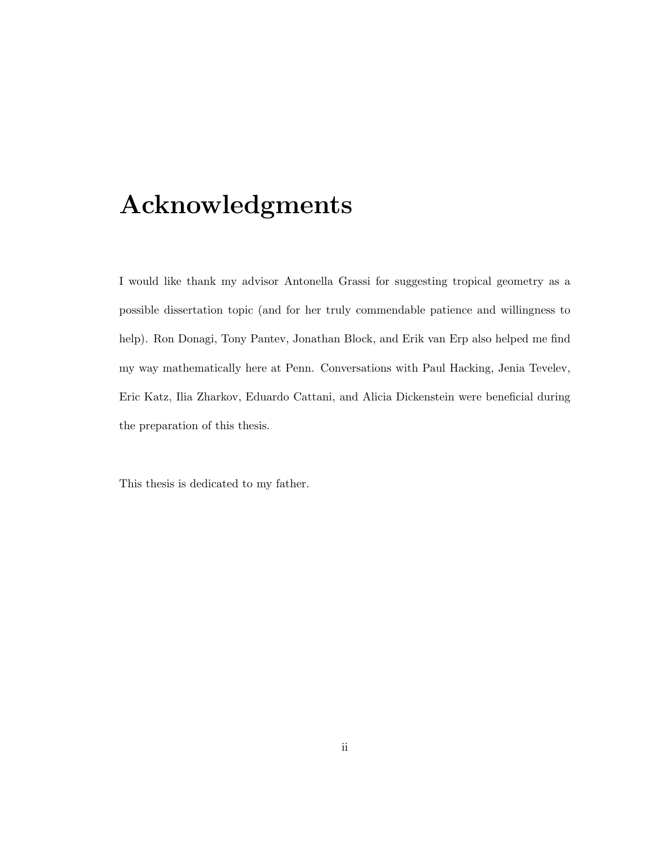# Acknowledgments

I would like thank my advisor Antonella Grassi for suggesting tropical geometry as a possible dissertation topic (and for her truly commendable patience and willingness to help). Ron Donagi, Tony Pantev, Jonathan Block, and Erik van Erp also helped me find my way mathematically here at Penn. Conversations with Paul Hacking, Jenia Tevelev, Eric Katz, Ilia Zharkov, Eduardo Cattani, and Alicia Dickenstein were beneficial during the preparation of this thesis.

This thesis is dedicated to my father.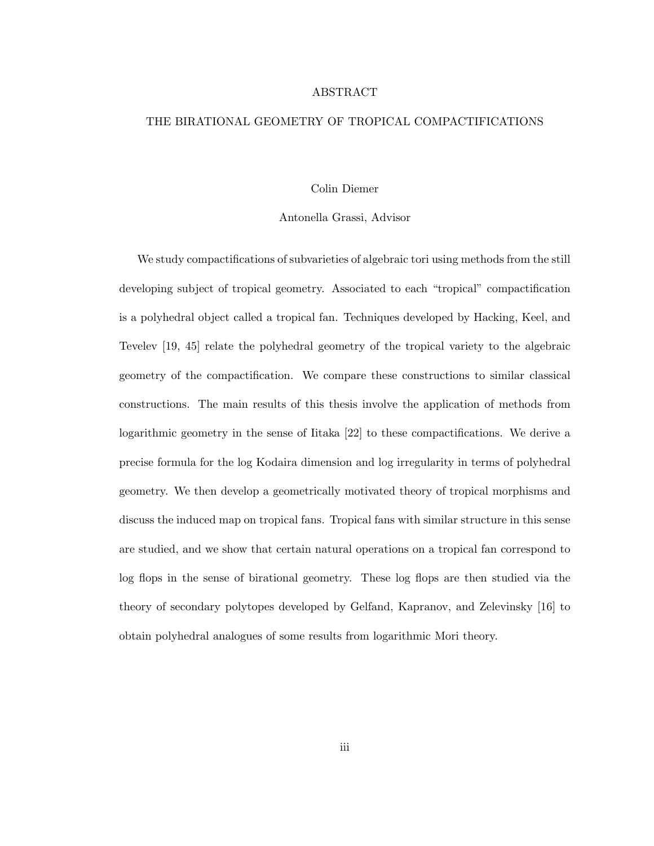#### ABSTRACT

#### THE BIRATIONAL GEOMETRY OF TROPICAL COMPACTIFICATIONS

#### Colin Diemer

#### Antonella Grassi, Advisor

We study compactifications of subvarieties of algebraic tori using methods from the still developing subject of tropical geometry. Associated to each "tropical" compactification is a polyhedral object called a tropical fan. Techniques developed by Hacking, Keel, and Tevelev [19, 45] relate the polyhedral geometry of the tropical variety to the algebraic geometry of the compactification. We compare these constructions to similar classical constructions. The main results of this thesis involve the application of methods from logarithmic geometry in the sense of Iitaka [22] to these compactifications. We derive a precise formula for the log Kodaira dimension and log irregularity in terms of polyhedral geometry. We then develop a geometrically motivated theory of tropical morphisms and discuss the induced map on tropical fans. Tropical fans with similar structure in this sense are studied, and we show that certain natural operations on a tropical fan correspond to log flops in the sense of birational geometry. These log flops are then studied via the theory of secondary polytopes developed by Gelfand, Kapranov, and Zelevinsky [16] to obtain polyhedral analogues of some results from logarithmic Mori theory.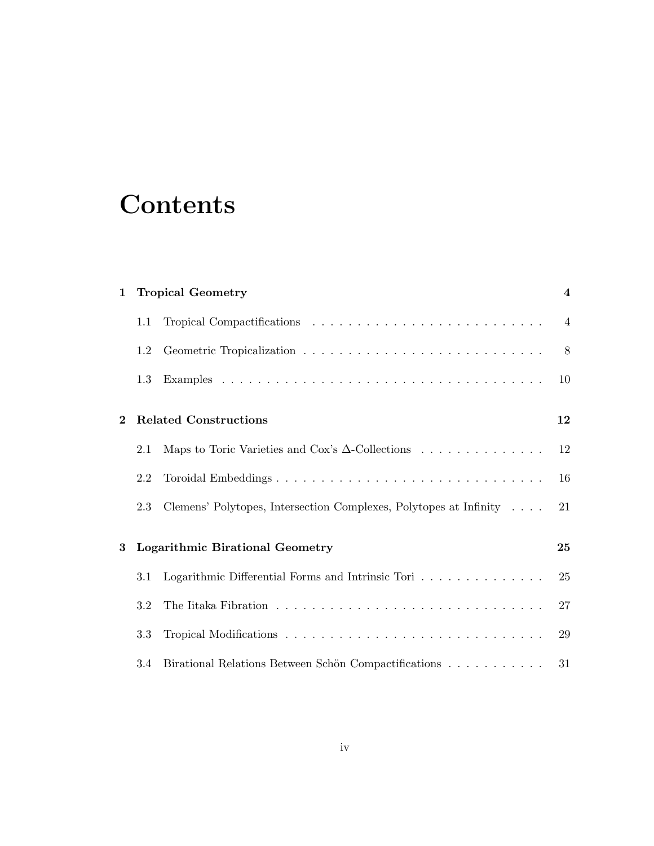# **Contents**

| $\mathbf{1}$ | <b>Tropical Geometry</b>               |                                                                   | $\overline{\mathbf{4}}$ |
|--------------|----------------------------------------|-------------------------------------------------------------------|-------------------------|
|              | 1.1                                    |                                                                   | $\overline{4}$          |
|              | 1.2                                    |                                                                   | 8                       |
|              | 1.3                                    |                                                                   | 10                      |
| $\bf{2}$     | <b>Related Constructions</b>           |                                                                   | 12                      |
|              | 2.1                                    | Maps to Toric Varieties and Cox's $\Delta$ -Collections           | 12                      |
|              | 2.2                                    | Toroidal Embeddings                                               | 16                      |
|              | 2.3                                    | Clemens' Polytopes, Intersection Complexes, Polytopes at Infinity | 21                      |
| 3            | <b>Logarithmic Birational Geometry</b> |                                                                   | 25                      |
|              | 3.1                                    | Logarithmic Differential Forms and Intrinsic Tori                 | 25                      |
|              | 3.2                                    |                                                                   | 27                      |
|              | 3.3                                    |                                                                   | 29                      |
|              | 3.4                                    | Birational Relations Between Schön Compactifications              | 31                      |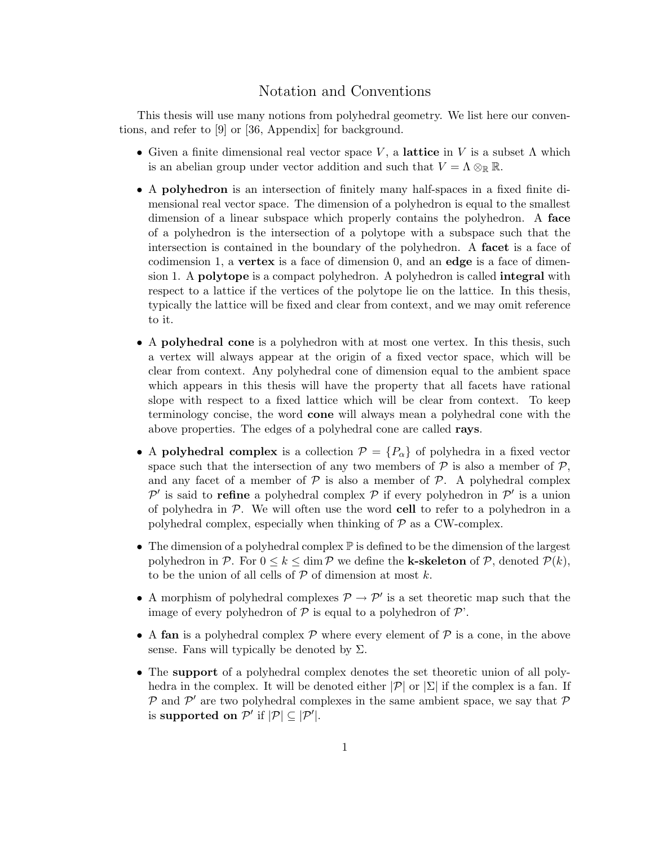### Notation and Conventions

This thesis will use many notions from polyhedral geometry. We list here our conventions, and refer to [9] or [36, Appendix] for background.

- Given a finite dimensional real vector space V, a lattice in V is a subset  $\Lambda$  which is an abelian group under vector addition and such that  $V = \Lambda \otimes_{\mathbb{R}} \mathbb{R}$ .
- A polyhedron is an intersection of finitely many half-spaces in a fixed finite dimensional real vector space. The dimension of a polyhedron is equal to the smallest dimension of a linear subspace which properly contains the polyhedron. A face of a polyhedron is the intersection of a polytope with a subspace such that the intersection is contained in the boundary of the polyhedron. A facet is a face of codimension 1, a vertex is a face of dimension 0, and an edge is a face of dimension 1. A polytope is a compact polyhedron. A polyhedron is called integral with respect to a lattice if the vertices of the polytope lie on the lattice. In this thesis, typically the lattice will be fixed and clear from context, and we may omit reference to it.
- A polyhedral cone is a polyhedron with at most one vertex. In this thesis, such a vertex will always appear at the origin of a fixed vector space, which will be clear from context. Any polyhedral cone of dimension equal to the ambient space which appears in this thesis will have the property that all facets have rational slope with respect to a fixed lattice which will be clear from context. To keep terminology concise, the word cone will always mean a polyhedral cone with the above properties. The edges of a polyhedral cone are called rays.
- A polyhedral complex is a collection  $\mathcal{P} = \{P_{\alpha}\}\$  of polyhedra in a fixed vector space such that the intersection of any two members of  $P$  is also a member of  $P$ , and any facet of a member of  $P$  is also a member of  $P$ . A polyhedral complex P' is said to refine a polyhedral complex P if every polyhedron in P' is a union of polyhedra in  $\mathcal{P}$ . We will often use the word cell to refer to a polyhedron in a polyhedral complex, especially when thinking of  $P$  as a CW-complex.
- The dimension of a polyhedral complex  $\mathbb P$  is defined to be the dimension of the largest polyhedron in P. For  $0 \leq k \leq \dim P$  we define the **k-skeleton** of P, denoted  $P(k)$ , to be the union of all cells of  $P$  of dimension at most  $k$ .
- A morphism of polyhedral complexes  $\mathcal{P} \to \mathcal{P}'$  is a set theoretic map such that the image of every polyhedron of  $P$  is equal to a polyhedron of  $P'$ .
- A fan is a polyhedral complex  $P$  where every element of  $P$  is a cone, in the above sense. Fans will typically be denoted by  $\Sigma$ .
- The support of a polyhedral complex denotes the set theoretic union of all polyhedra in the complex. It will be denoted either  $|\mathcal{P}|$  or  $|\Sigma|$  if the complex is a fan. If  $P$  and  $P'$  are two polyhedral complexes in the same ambient space, we say that  $P$ is supported on  $\mathcal{P}'$  if  $|\mathcal{P}| \subseteq |\mathcal{P}'|$ .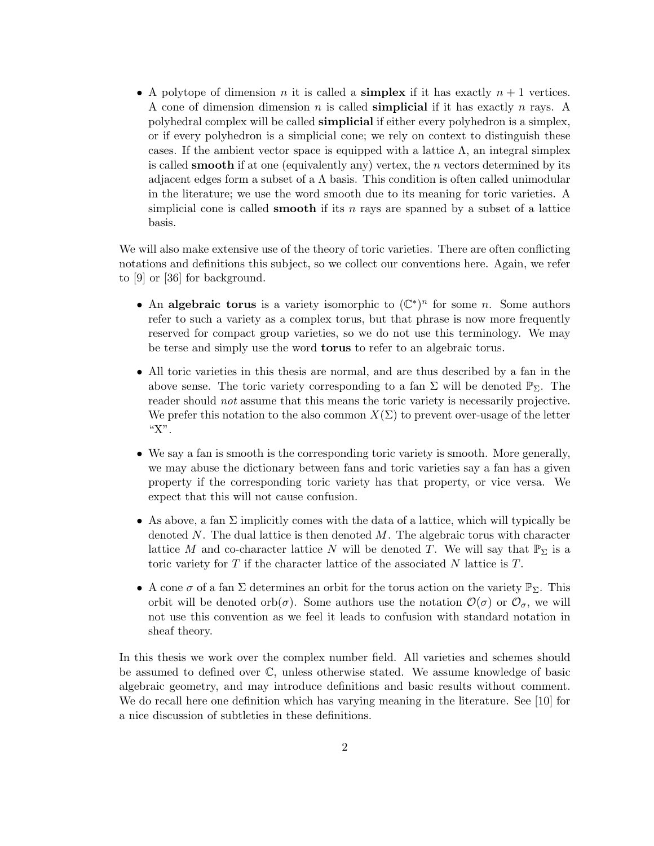• A polytope of dimension n it is called a **simplex** if it has exactly  $n + 1$  vertices. A cone of dimension dimension n is called **simplicial** if it has exactly n rays. A polyhedral complex will be called simplicial if either every polyhedron is a simplex, or if every polyhedron is a simplicial cone; we rely on context to distinguish these cases. If the ambient vector space is equipped with a lattice  $\Lambda$ , an integral simplex is called **smooth** if at one (equivalently any) vertex, the  $n$  vectors determined by its adjacent edges form a subset of a  $\Lambda$  basis. This condition is often called unimodular in the literature; we use the word smooth due to its meaning for toric varieties. A simplicial cone is called **smooth** if its n rays are spanned by a subset of a lattice basis.

We will also make extensive use of the theory of toric varieties. There are often conflicting notations and definitions this subject, so we collect our conventions here. Again, we refer to [9] or [36] for background.

- An algebraic torus is a variety isomorphic to  $(\mathbb{C}^*)^n$  for some n. Some authors refer to such a variety as a complex torus, but that phrase is now more frequently reserved for compact group varieties, so we do not use this terminology. We may be terse and simply use the word torus to refer to an algebraic torus.
- All toric varieties in this thesis are normal, and are thus described by a fan in the above sense. The toric variety corresponding to a fan  $\Sigma$  will be denoted  $\mathbb{P}_{\Sigma}$ . The reader should *not* assume that this means the toric variety is necessarily projective. We prefer this notation to the also common  $X(\Sigma)$  to prevent over-usage of the letter "X".
- We say a fan is smooth is the corresponding toric variety is smooth. More generally, we may abuse the dictionary between fans and toric varieties say a fan has a given property if the corresponding toric variety has that property, or vice versa. We expect that this will not cause confusion.
- As above, a fan  $\Sigma$  implicitly comes with the data of a lattice, which will typically be denoted  $N$ . The dual lattice is then denoted  $M$ . The algebraic torus with character lattice M and co-character lattice N will be denoted T. We will say that  $\mathbb{P}_{\Sigma}$  is a toric variety for  $T$  if the character lattice of the associated  $N$  lattice is  $T$ .
- A cone  $\sigma$  of a fan  $\Sigma$  determines an orbit for the torus action on the variety  $\mathbb{P}_{\Sigma}$ . This orbit will be denoted orb $(\sigma)$ . Some authors use the notation  $\mathcal{O}(\sigma)$  or  $\mathcal{O}_{\sigma}$ , we will not use this convention as we feel it leads to confusion with standard notation in sheaf theory.

In this thesis we work over the complex number field. All varieties and schemes should be assumed to defined over C, unless otherwise stated. We assume knowledge of basic algebraic geometry, and may introduce definitions and basic results without comment. We do recall here one definition which has varying meaning in the literature. See [10] for a nice discussion of subtleties in these definitions.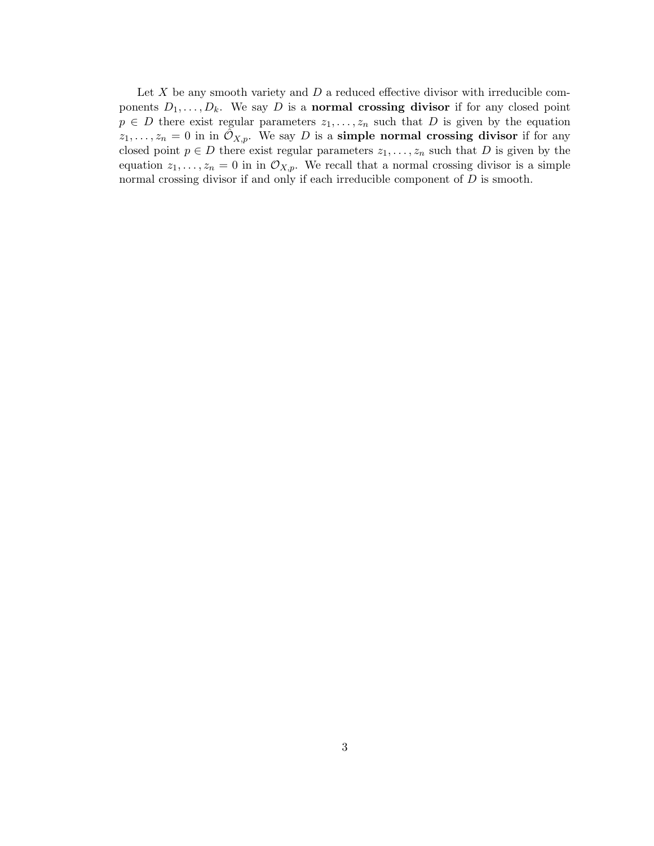Let  $X$  be any smooth variety and  $D$  a reduced effective divisor with irreducible components  $D_1, \ldots, D_k$ . We say D is a **normal crossing divisor** if for any closed point  $p \in D$  there exist regular parameters  $z_1, \ldots, z_n$  such that D is given by the equation  $z_1, \ldots, z_n = 0$  in in  $\hat{\mathcal{O}}_{X,p}$ . We say D is a **simple normal crossing divisor** if for any closed point  $p \in D$  there exist regular parameters  $z_1, \ldots, z_n$  such that D is given by the equation  $z_1, \ldots, z_n = 0$  in in  $\mathcal{O}_{X,p}$ . We recall that a normal crossing divisor is a simple normal crossing divisor if and only if each irreducible component of  $D$  is smooth.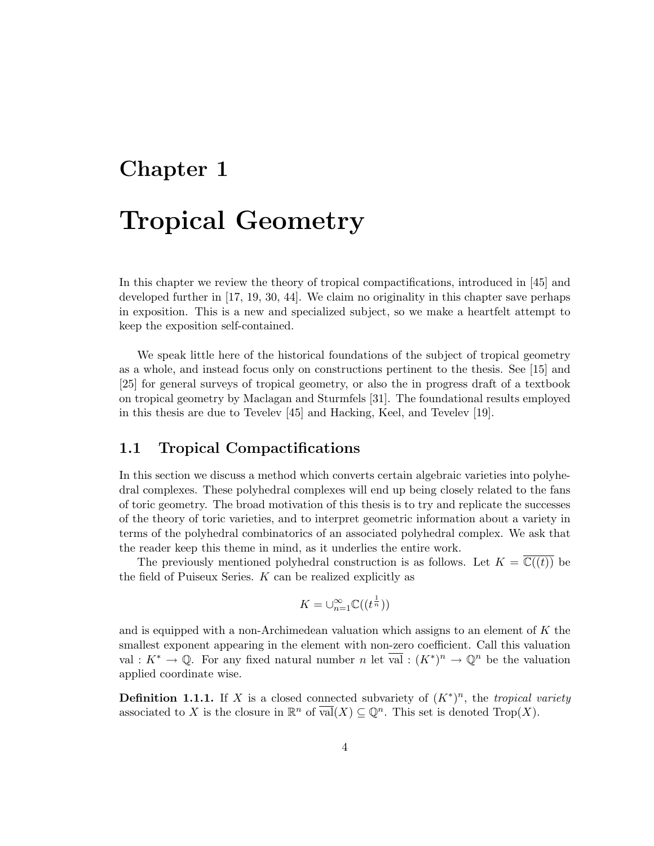# Chapter 1

# Tropical Geometry

In this chapter we review the theory of tropical compactifications, introduced in [45] and developed further in [17, 19, 30, 44]. We claim no originality in this chapter save perhaps in exposition. This is a new and specialized subject, so we make a heartfelt attempt to keep the exposition self-contained.

We speak little here of the historical foundations of the subject of tropical geometry as a whole, and instead focus only on constructions pertinent to the thesis. See [15] and [25] for general surveys of tropical geometry, or also the in progress draft of a textbook on tropical geometry by Maclagan and Sturmfels [31]. The foundational results employed in this thesis are due to Tevelev [45] and Hacking, Keel, and Tevelev [19].

## 1.1 Tropical Compactifications

In this section we discuss a method which converts certain algebraic varieties into polyhedral complexes. These polyhedral complexes will end up being closely related to the fans of toric geometry. The broad motivation of this thesis is to try and replicate the successes of the theory of toric varieties, and to interpret geometric information about a variety in terms of the polyhedral combinatorics of an associated polyhedral complex. We ask that the reader keep this theme in mind, as it underlies the entire work.

The previously mentioned polyhedral construction is as follows. Let  $K = \overline{\mathbb{C}((t))}$  be the field of Puiseux Series.  $K$  can be realized explicitly as

$$
K=\cup_{n=1}^{\infty}\mathbb{C}((t^{\frac{1}{n}}))
$$

and is equipped with a non-Archimedean valuation which assigns to an element of  $K$  the smallest exponent appearing in the element with non-zero coefficient. Call this valuation val :  $K^* \to \mathbb{Q}$ . For any fixed natural number n let  $\overline{val}$  :  $(K^*)^n \to \mathbb{Q}^n$  be the valuation applied coordinate wise.

**Definition 1.1.1.** If X is a closed connected subvariety of  $(K^*)^n$ , the tropical variety associated to X is the closure in  $\mathbb{R}^n$  of  $\overline{\text{val}}(X) \subseteq \mathbb{Q}^n$ . This set is denoted  $\text{Top}(X)$ .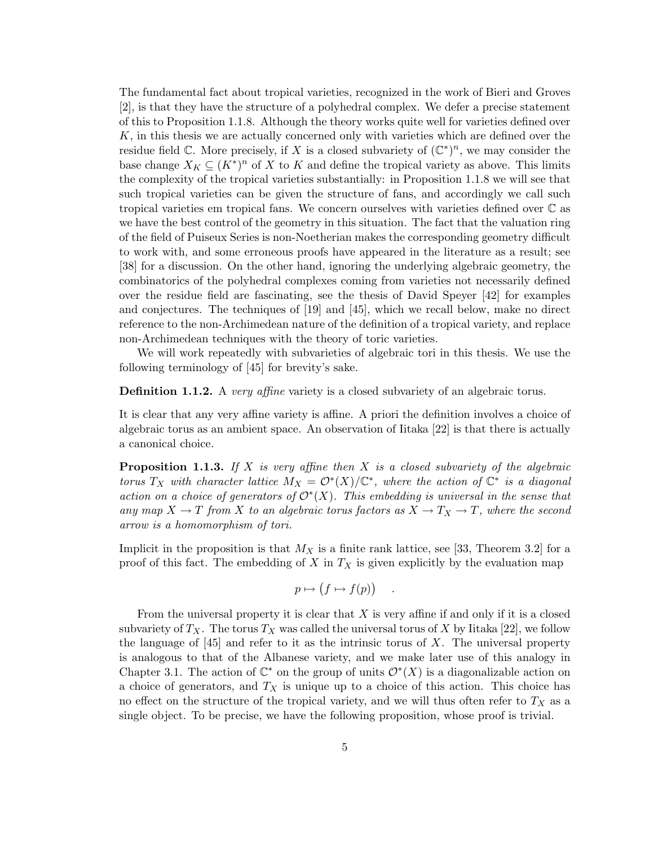The fundamental fact about tropical varieties, recognized in the work of Bieri and Groves [2], is that they have the structure of a polyhedral complex. We defer a precise statement of this to Proposition 1.1.8. Although the theory works quite well for varieties defined over  $K$ , in this thesis we are actually concerned only with varieties which are defined over the residue field C. More precisely, if X is a closed subvariety of  $(\mathbb{C}^*)^n$ , we may consider the base change  $X_K \subseteq (K^*)^n$  of X to K and define the tropical variety as above. This limits the complexity of the tropical varieties substantially: in Proposition 1.1.8 we will see that such tropical varieties can be given the structure of fans, and accordingly we call such tropical varieties em tropical fans. We concern ourselves with varieties defined over C as we have the best control of the geometry in this situation. The fact that the valuation ring of the field of Puiseux Series is non-Noetherian makes the corresponding geometry difficult to work with, and some erroneous proofs have appeared in the literature as a result; see [38] for a discussion. On the other hand, ignoring the underlying algebraic geometry, the combinatorics of the polyhedral complexes coming from varieties not necessarily defined over the residue field are fascinating, see the thesis of David Speyer [42] for examples and conjectures. The techniques of [19] and [45], which we recall below, make no direct reference to the non-Archimedean nature of the definition of a tropical variety, and replace non-Archimedean techniques with the theory of toric varieties.

We will work repeatedly with subvarieties of algebraic tori in this thesis. We use the following terminology of [45] for brevity's sake.

**Definition 1.1.2.** A very affine variety is a closed subvariety of an algebraic torus.

It is clear that any very affine variety is affine. A priori the definition involves a choice of algebraic torus as an ambient space. An observation of Iitaka [22] is that there is actually a canonical choice.

**Proposition 1.1.3.** If X is very affine then X is a closed subvariety of the algebraic torus T<sub>X</sub> with character lattice  $M_X = \mathcal{O}^*(X)/\mathbb{C}^*$ , where the action of  $\mathbb{C}^*$  is a diagonal action on a choice of generators of  $\mathcal{O}^*(X)$ . This embedding is universal in the sense that any map  $X \to T$  from X to an algebraic torus factors as  $X \to T_X \to T$ , where the second arrow is a homomorphism of tori.

Implicit in the proposition is that  $M_X$  is a finite rank lattice, see [33, Theorem 3.2] for a proof of this fact. The embedding of  $X$  in  $T_X$  is given explicitly by the evaluation map

$$
p \mapsto (f \mapsto f(p))
$$

.

From the universal property it is clear that  $X$  is very affine if and only if it is a closed subvariety of  $T_X$ . The torus  $T_X$  was called the universal torus of X by Iitaka [22], we follow the language of  $[45]$  and refer to it as the intrinsic torus of X. The universal property is analogous to that of the Albanese variety, and we make later use of this analogy in Chapter 3.1. The action of  $\mathbb{C}^*$  on the group of units  $\mathcal{O}^*(X)$  is a diagonalizable action on a choice of generators, and  $T_X$  is unique up to a choice of this action. This choice has no effect on the structure of the tropical variety, and we will thus often refer to  $T_X$  as a single object. To be precise, we have the following proposition, whose proof is trivial.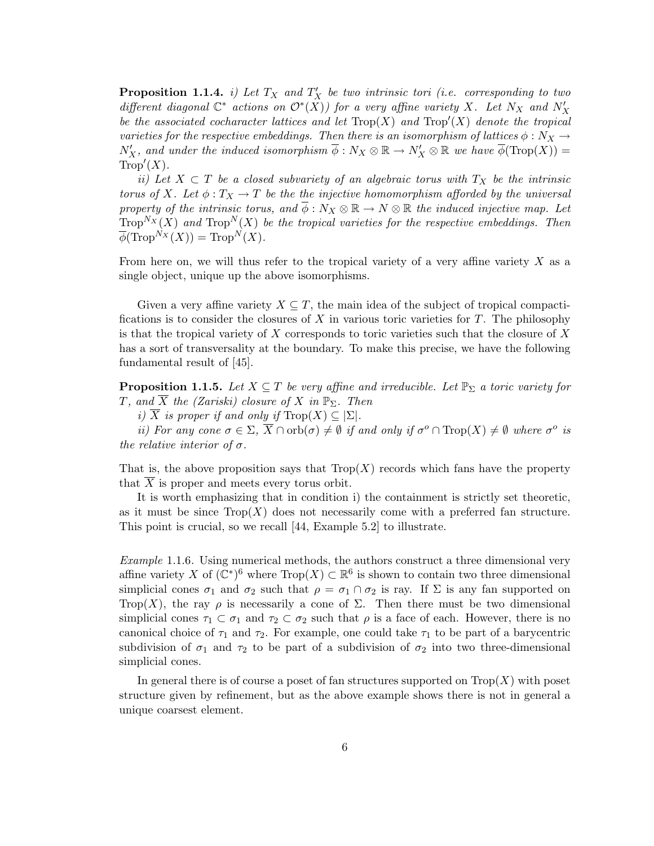**Proposition 1.1.4.** i) Let  $T_X$  and  $T'_X$  be two intrinsic tori (i.e. corresponding to two different diagonal  $\mathbb{C}^*$  actions on  $\mathcal{O}^*(X)$ ) for a very affine variety X. Let  $N_X$  and  $N'_X$ be the associated cocharacter lattices and let  $\text{Top}(X)$  and  $\text{Top}'(X)$  denote the tropical varieties for the respective embeddings. Then there is an isomorphism of lattices  $\phi : N_X \to$  $N'_X$ , and under the induced isomorphism  $\overline{\phi}: N_X \otimes \mathbb{R} \to N'_X \otimes \mathbb{R}$  we have  $\overline{\phi}(\text{Top}(X)) =$  $Trop'(X)$ .

ii) Let  $X \subset T$  be a closed subvariety of an algebraic torus with  $T_X$  be the intrinsic torus of X. Let  $\phi: T_X \to T$  be the the injective homomorphism afforded by the universal property of the intrinsic torus, and  $\overline{\phi}: N_X \otimes \mathbb{R} \to N \otimes \mathbb{R}$  the induced injective map. Let  $Trop^{N_X}(X)$  and  $Trop^{N}(X)$  be the tropical varieties for the respective embeddings. Then  $\overline{\phi}(\text{Trop}^{N_X}(X)) = \text{Trop}^{N}(X).$ 

From here on, we will thus refer to the tropical variety of a very affine variety  $X$  as a single object, unique up the above isomorphisms.

Given a very affine variety  $X \subseteq T$ , the main idea of the subject of tropical compactifications is to consider the closures of X in various toric varieties for T. The philosophy is that the tropical variety of X corresponds to toric varieties such that the closure of X has a sort of transversality at the boundary. To make this precise, we have the following fundamental result of [45].

**Proposition 1.1.5.** Let  $X \subseteq T$  be very affine and irreducible. Let  $\mathbb{P}_{\Sigma}$  a toric variety for T, and  $\overline{X}$  the (Zariski) closure of X in  $\mathbb{P}_{\Sigma}$ . Then

i)  $\overline{X}$  is proper if and only if  $\text{Top}(X) \subseteq \Sigma$ .

ii) For any cone  $\sigma \in \Sigma$ ,  $\overline{X} \cap \mathrm{orb}(\sigma) \neq \emptyset$  if and only if  $\sigma^o \cap \mathrm{Trop}(X) \neq \emptyset$  where  $\sigma^o$  is the relative interior of  $\sigma$ .

That is, the above proposition says that  $Trop(X)$  records which fans have the property that  $\overline{X}$  is proper and meets every torus orbit.

It is worth emphasizing that in condition i) the containment is strictly set theoretic, as it must be since  $\text{Top}(X)$  does not necessarily come with a preferred fan structure. This point is crucial, so we recall [44, Example 5.2] to illustrate.

Example 1.1.6. Using numerical methods, the authors construct a three dimensional very affine variety X of  $(\mathbb{C}^*)^6$  where  $\text{Trop}(X) \subset \mathbb{R}^6$  is shown to contain two three dimensional simplicial cones  $\sigma_1$  and  $\sigma_2$  such that  $\rho = \sigma_1 \cap \sigma_2$  is ray. If  $\Sigma$  is any fan supported on Trop(X), the ray  $\rho$  is necessarily a cone of  $\Sigma$ . Then there must be two dimensional simplicial cones  $\tau_1 \subset \sigma_1$  and  $\tau_2 \subset \sigma_2$  such that  $\rho$  is a face of each. However, there is no canonical choice of  $\tau_1$  and  $\tau_2$ . For example, one could take  $\tau_1$  to be part of a barycentric subdivision of  $\sigma_1$  and  $\tau_2$  to be part of a subdivision of  $\sigma_2$  into two three-dimensional simplicial cones.

In general there is of course a poset of fan structures supported on  $Trop(X)$  with poset structure given by refinement, but as the above example shows there is not in general a unique coarsest element.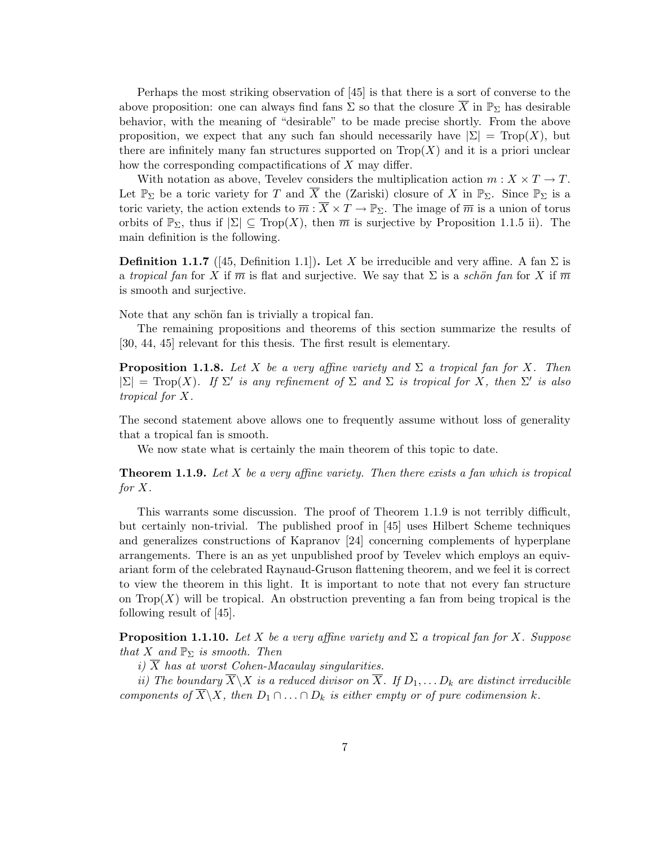Perhaps the most striking observation of [45] is that there is a sort of converse to the above proposition: one can always find fans  $\Sigma$  so that the closure  $\overline{X}$  in  $\mathbb{P}_{\Sigma}$  has desirable behavior, with the meaning of "desirable" to be made precise shortly. From the above proposition, we expect that any such fan should necessarily have  $|\Sigma| = \text{Top}(X)$ , but there are infinitely many fan structures supported on  $Trop(X)$  and it is a priori unclear how the corresponding compactifications of X may differ.

With notation as above, Tevelev considers the multiplication action  $m: X \times T \to T$ . Let  $\mathbb{P}_{\Sigma}$  be a toric variety for T and  $\overline{X}$  the (Zariski) closure of X in  $\mathbb{P}_{\Sigma}$ . Since  $\mathbb{P}_{\Sigma}$  is a toric variety, the action extends to  $\overline{m} : \overline{X} \times T \to \mathbb{P}_{\Sigma}$ . The image of  $\overline{m}$  is a union of torus orbits of  $\mathbb{P}_{\Sigma}$ , thus if  $|\Sigma| \subseteq \text{Top}(X)$ , then  $\overline{m}$  is surjective by Proposition 1.1.5 ii). The main definition is the following.

**Definition 1.1.7** ([45, Definition 1.1]). Let X be irreducible and very affine. A fan  $\Sigma$  is a tropical fan for X if  $\overline{m}$  is flat and surjective. We say that  $\Sigma$  is a schön fan for X if  $\overline{m}$ is smooth and surjective.

Note that any schön fan is trivially a tropical fan.

The remaining propositions and theorems of this section summarize the results of [30, 44, 45] relevant for this thesis. The first result is elementary.

**Proposition 1.1.8.** Let X be a very affine variety and  $\Sigma$  a tropical fan for X. Then  $|\Sigma| = \text{Top}(X)$ . If  $\Sigma'$  is any refinement of  $\Sigma$  and  $\Sigma$  is tropical for X, then  $\Sigma'$  is also tropical for X.

The second statement above allows one to frequently assume without loss of generality that a tropical fan is smooth.

We now state what is certainly the main theorem of this topic to date.

**Theorem 1.1.9.** Let X be a very affine variety. Then there exists a fan which is tropical for X.

This warrants some discussion. The proof of Theorem 1.1.9 is not terribly difficult, but certainly non-trivial. The published proof in [45] uses Hilbert Scheme techniques and generalizes constructions of Kapranov [24] concerning complements of hyperplane arrangements. There is an as yet unpublished proof by Tevelev which employs an equivariant form of the celebrated Raynaud-Gruson flattening theorem, and we feel it is correct to view the theorem in this light. It is important to note that not every fan structure on  $\text{Top}(X)$  will be tropical. An obstruction preventing a fan from being tropical is the following result of [45].

**Proposition 1.1.10.** Let X be a very affine variety and  $\Sigma$  a tropical fan for X. Suppose that X and  $\mathbb{P}_{\Sigma}$  is smooth. Then

i)  $\overline{X}$  has at worst Cohen-Macaulay singularities.

ii) The boundary  $\overline{X}\backslash X$  is a reduced divisor on  $\overline{X}$ . If  $D_1, \ldots D_k$  are distinct irreducible components of  $\overline{X}\backslash X$ , then  $D_1 \cap \ldots \cap D_k$  is either empty or of pure codimension k.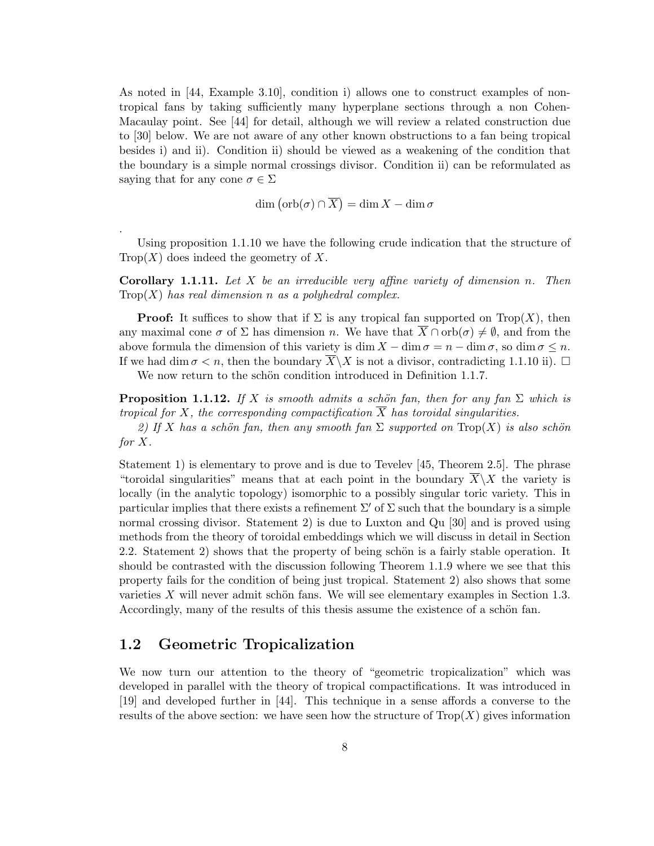As noted in [44, Example 3.10], condition i) allows one to construct examples of nontropical fans by taking sufficiently many hyperplane sections through a non Cohen-Macaulay point. See [44] for detail, although we will review a related construction due to [30] below. We are not aware of any other known obstructions to a fan being tropical besides i) and ii). Condition ii) should be viewed as a weakening of the condition that the boundary is a simple normal crossings divisor. Condition ii) can be reformulated as saying that for any cone  $\sigma \in \Sigma$ 

$$
\dim\left(\text{orb}(\sigma)\cap\overline{X}\right)=\dim X-\dim\sigma
$$

Using proposition 1.1.10 we have the following crude indication that the structure of  $Trop(X)$  does indeed the geometry of X.

**Corollary 1.1.11.** Let X be an irreducible very affine variety of dimension n. Then  $Trop(X)$  has real dimension n as a polyhedral complex.

**Proof:** It suffices to show that if  $\Sigma$  is any tropical fan supported on Trop $(X)$ , then any maximal cone  $\sigma$  of  $\Sigma$  has dimension n. We have that  $\overline{X} \cap \text{orb}(\sigma) \neq \emptyset$ , and from the above formula the dimension of this variety is dim  $X - \dim \sigma = n - \dim \sigma$ , so  $\dim \sigma \leq n$ . If we had dim  $\sigma < n$ , then the boundary  $X \backslash X$  is not a divisor, contradicting 1.1.10 ii).  $\Box$ 

We now return to the schön condition introduced in Definition 1.1.7.

**Proposition 1.1.12.** If X is smooth admits a schön fan, then for any fan  $\Sigma$  which is tropical for X, the corresponding compactification  $\overline{X}$  has toroidal singularities.

2) If X has a schön fan, then any smooth fan  $\Sigma$  supported on  $\text{Top}(X)$  is also schön for X.

Statement 1) is elementary to prove and is due to Tevelev [45, Theorem 2.5]. The phrase "toroidal singularities" means that at each point in the boundary  $\overline{X}\setminus X$  the variety is locally (in the analytic topology) isomorphic to a possibly singular toric variety. This in particular implies that there exists a refinement  $\Sigma'$  of  $\Sigma$  such that the boundary is a simple normal crossing divisor. Statement 2) is due to Luxton and Qu [30] and is proved using methods from the theory of toroidal embeddings which we will discuss in detail in Section 2.2. Statement 2) shows that the property of being schön is a fairly stable operation. It should be contrasted with the discussion following Theorem 1.1.9 where we see that this property fails for the condition of being just tropical. Statement 2) also shows that some varieties  $X$  will never admit schön fans. We will see elementary examples in Section 1.3. Accordingly, many of the results of this thesis assume the existence of a schön fan.

### 1.2 Geometric Tropicalization

.

We now turn our attention to the theory of "geometric tropicalization" which was developed in parallel with the theory of tropical compactifications. It was introduced in [19] and developed further in [44]. This technique in a sense affords a converse to the results of the above section: we have seen how the structure of  $\text{Trop}(X)$  gives information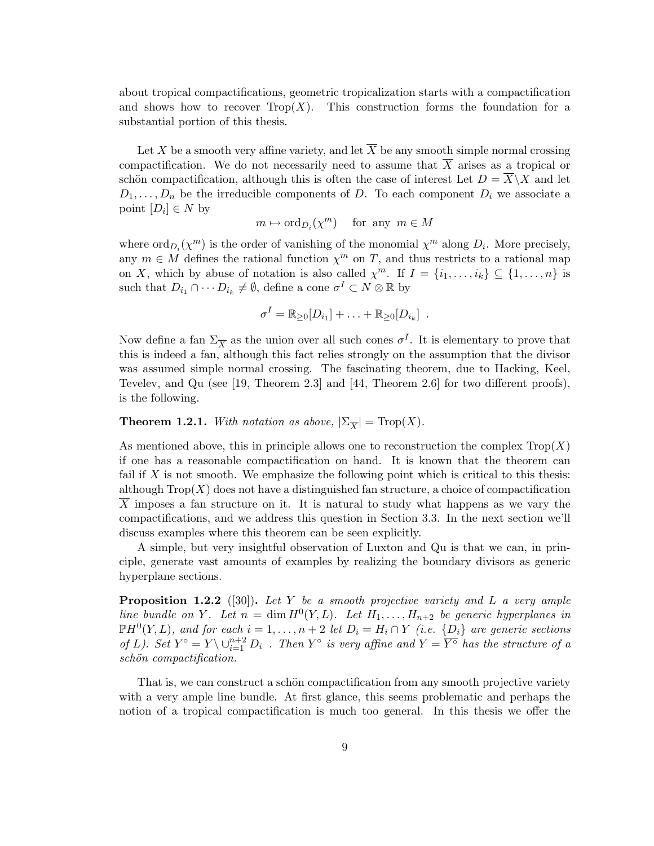about tropical compactifications, geometric tropicalization starts with a compactification and shows how to recover  $\text{Top}(X)$ . This construction forms the foundation for a substantial portion of this thesis.

Let X be a smooth very affine variety, and let  $\overline{X}$  be any smooth simple normal crossing compactification. We do not necessarily need to assume that  $\overline{X}$  arises as a tropical or schön compactification, although this is often the case of interest Let  $D = \overline{X} \backslash X$  and let  $D_1, \ldots, D_n$  be the irreducible components of D. To each component  $D_i$  we associate a point  $[D_i] \in N$  by

 $m \mapsto \mathrm{ord}_{D_i}(\chi^m)$  for any  $m \in M$ 

where  $\text{ord}_{D_i}(\chi^m)$  is the order of vanishing of the monomial  $\chi^m$  along  $D_i$ . More precisely, any  $m \in M$  defines the rational function  $\chi^m$  on T, and thus restricts to a rational map on X, which by abuse of notation is also called  $\chi^m$ . If  $I = \{i_1, \ldots, i_k\} \subseteq \{1, \ldots, n\}$  is such that  $D_{i_1} \cap \cdots D_{i_k} \neq \emptyset$ , define a cone  $\sigma^I \subset N \otimes \mathbb{R}$  by

$$
\sigma^I = \mathbb{R}_{\geq 0}[D_{i_1}] + \ldots + \mathbb{R}_{\geq 0}[D_{i_k}] \enspace .
$$

Now define a fan  $\Sigma_{\overline{X}}$  as the union over all such cones  $\sigma^I$ . It is elementary to prove that this is indeed a fan, although this fact relies strongly on the assumption that the divisor was assumed simple normal crossing. The fascinating theorem, due to Hacking, Keel, Tevelev, and Qu (see [19, Theorem 2.3] and [44, Theorem 2.6] for two different proofs), is the following.

**Theorem 1.2.1.** With notation as above,  $|\Sigma_{\overline{X}}| = \text{Trop}(X)$ .

As mentioned above, this in principle allows one to reconstruction the complex  $\text{Top}(X)$ if one has a reasonable compactification on hand. It is known that the theorem can fail if  $X$  is not smooth. We emphasize the following point which is critical to this thesis: although  $\text{Top}(X)$  does not have a distinguished fan structure, a choice of compactification  $X$  imposes a fan structure on it. It is natural to study what happens as we vary the compactifications, and we address this question in Section 3.3. In the next section we'll discuss examples where this theorem can be seen explicitly.

A simple, but very insightful observation of Luxton and Qu is that we can, in principle, generate vast amounts of examples by realizing the boundary divisors as generic hyperplane sections.

**Proposition 1.2.2** ([30]). Let Y be a smooth projective variety and L a very ample line bundle on Y. Let  $n = \dim H^0(Y, L)$ . Let  $H_1, \ldots, H_{n+2}$  be generic hyperplanes in  $\mathbb{P}H^0(Y,L)$ , and for each  $i=1,\ldots,n+2$  let  $D_i=H_i\cap Y$  (i.e.  $\{D_i\}$  are generic sections of L). Set  $Y^{\circ} = Y \setminus \cup_{i=1}^{n+2} D_i$ . Then  $Y^{\circ}$  is very affine and  $Y = \overline{Y^{\circ}}$  has the structure of a schön compactification.

That is, we can construct a schön compactification from any smooth projective variety with a very ample line bundle. At first glance, this seems problematic and perhaps the notion of a tropical compactification is much too general. In this thesis we offer the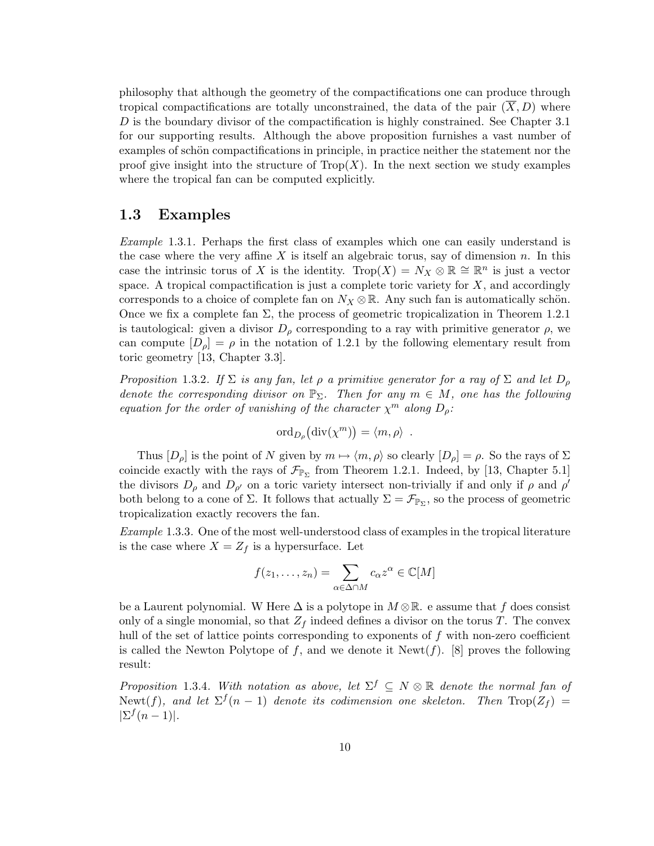philosophy that although the geometry of the compactifications one can produce through tropical compactifications are totally unconstrained, the data of the pair  $(\overline{X}, D)$  where  $D$  is the boundary divisor of the compactification is highly constrained. See Chapter 3.1 for our supporting results. Although the above proposition furnishes a vast number of examples of schön compactifications in principle, in practice neither the statement nor the proof give insight into the structure of  $Trop(X)$ . In the next section we study examples where the tropical fan can be computed explicitly.

## 1.3 Examples

Example 1.3.1. Perhaps the first class of examples which one can easily understand is the case where the very affine X is itself an algebraic torus, say of dimension n. In this case the intrinsic torus of X is the identity. Trop $(X) = N_X \otimes \mathbb{R} \cong \mathbb{R}^n$  is just a vector space. A tropical compactification is just a complete toric variety for  $X$ , and accordingly corresponds to a choice of complete fan on  $N_X \otimes \mathbb{R}$ . Any such fan is automatically schön. Once we fix a complete fan  $\Sigma$ , the process of geometric tropicalization in Theorem 1.2.1 is tautological: given a divisor  $D_{\rho}$  corresponding to a ray with primitive generator  $\rho$ , we can compute  $[D_\rho] = \rho$  in the notation of 1.2.1 by the following elementary result from toric geometry [13, Chapter 3.3].

Proposition 1.3.2. If  $\Sigma$  is any fan, let  $\rho$  a primitive generator for a ray of  $\Sigma$  and let  $D_{\rho}$ denote the corresponding divisor on  $\mathbb{P}_{\Sigma}$ . Then for any  $m \in M$ , one has the following equation for the order of vanishing of the character  $\chi^m$  along  $D_\rho$ :

$$
\mathrm{ord}_{D_{\rho}}(\mathrm{div}(\chi^m)) = \langle m, \rho \rangle .
$$

Thus  $[D_\rho]$  is the point of N given by  $m \mapsto \langle m, \rho \rangle$  so clearly  $[D_\rho] = \rho$ . So the rays of  $\Sigma$ coincide exactly with the rays of  $\mathcal{F}_{\mathbb{P}_{\Sigma}}$  from Theorem 1.2.1. Indeed, by [13, Chapter 5.1] the divisors  $D_{\rho}$  and  $D_{\rho'}$  on a toric variety intersect non-trivially if and only if  $\rho$  and  $\rho'$ both belong to a cone of  $\Sigma$ . It follows that actually  $\Sigma = \mathcal{F}_{\mathbb{P}_{\Sigma}}$ , so the process of geometric tropicalization exactly recovers the fan.

Example 1.3.3. One of the most well-understood class of examples in the tropical literature is the case where  $X = Z_f$  is a hypersurface. Let

$$
f(z_1,\ldots,z_n) = \sum_{\alpha \in \Delta \cap M} c_{\alpha} z^{\alpha} \in \mathbb{C}[M]
$$

be a Laurent polynomial. W Here  $\Delta$  is a polytope in  $M \otimes \mathbb{R}$ . e assume that f does consist only of a single monomial, so that  $Z_f$  indeed defines a divisor on the torus T. The convex hull of the set of lattice points corresponding to exponents of  $f$  with non-zero coefficient is called the Newton Polytope of f, and we denote it Newt $(f)$ . [8] proves the following result:

Proposition 1.3.4. With notation as above, let  $\Sigma^f \subseteq N \otimes \mathbb{R}$  denote the normal fan of Newt(f), and let  $\Sigma^f(n-1)$  denote its codimension one skeleton. Then  $\text{Top}(Z_f)$  =  $|\Sigma^f(n-1)|$ .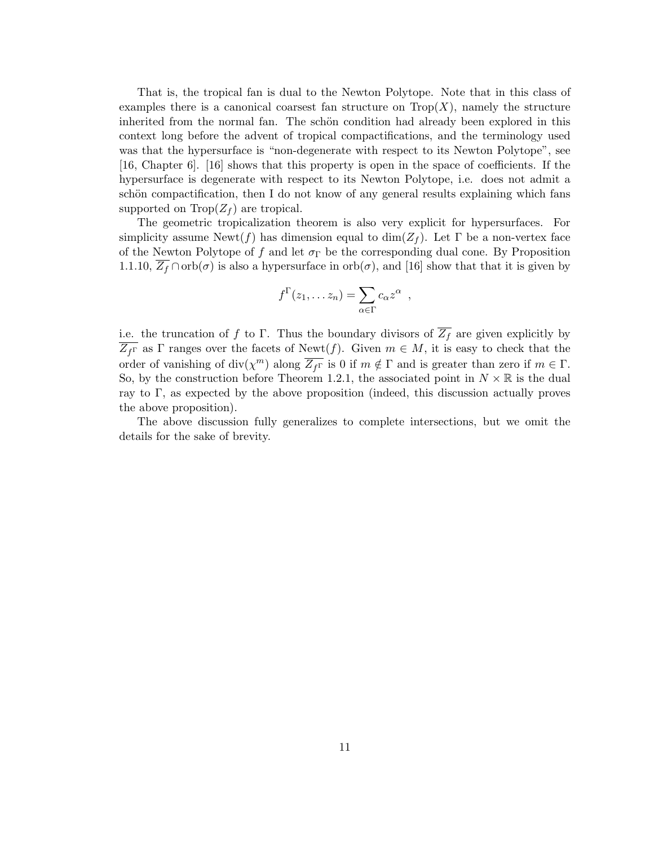That is, the tropical fan is dual to the Newton Polytope. Note that in this class of examples there is a canonical coarsest fan structure on  $Trop(X)$ , namely the structure inherited from the normal fan. The schön condition had already been explored in this context long before the advent of tropical compactifications, and the terminology used was that the hypersurface is "non-degenerate with respect to its Newton Polytope", see [16, Chapter 6]. [16] shows that this property is open in the space of coefficients. If the hypersurface is degenerate with respect to its Newton Polytope, i.e. does not admit a schön compactification, then I do not know of any general results explaining which fans supported on  $\text{Top}(Z_f)$  are tropical.

The geometric tropicalization theorem is also very explicit for hypersurfaces. For simplicity assume  $\text{Newt}(f)$  has dimension equal to  $\dim(Z_f)$ . Let  $\Gamma$  be a non-vertex face of the Newton Polytope of f and let  $\sigma_{\Gamma}$  be the corresponding dual cone. By Proposition 1.1.10,  $\overline{Z_f} \cap \text{orb}(\sigma)$  is also a hypersurface in  $\text{orb}(\sigma)$ , and [16] show that that it is given by

$$
f^{\Gamma}(z_1,\ldots z_n) = \sum_{\alpha \in \Gamma} c_{\alpha} z^{\alpha} ,
$$

i.e. the truncation of f to Γ. Thus the boundary divisors of  $\overline{Z_f}$  are given explicitly by  $\overline{Z_{f\Gamma}}$  as  $\Gamma$  ranges over the facets of Newt(f). Given  $m \in M$ , it is easy to check that the order of vanishing of  $\text{div}(\chi^m)$  along  $\overline{Z_{f\Gamma}}$  is 0 if  $m \notin \Gamma$  and is greater than zero if  $m \in \Gamma$ . So, by the construction before Theorem 1.2.1, the associated point in  $N \times \mathbb{R}$  is the dual ray to  $\Gamma$ , as expected by the above proposition (indeed, this discussion actually proves the above proposition).

The above discussion fully generalizes to complete intersections, but we omit the details for the sake of brevity.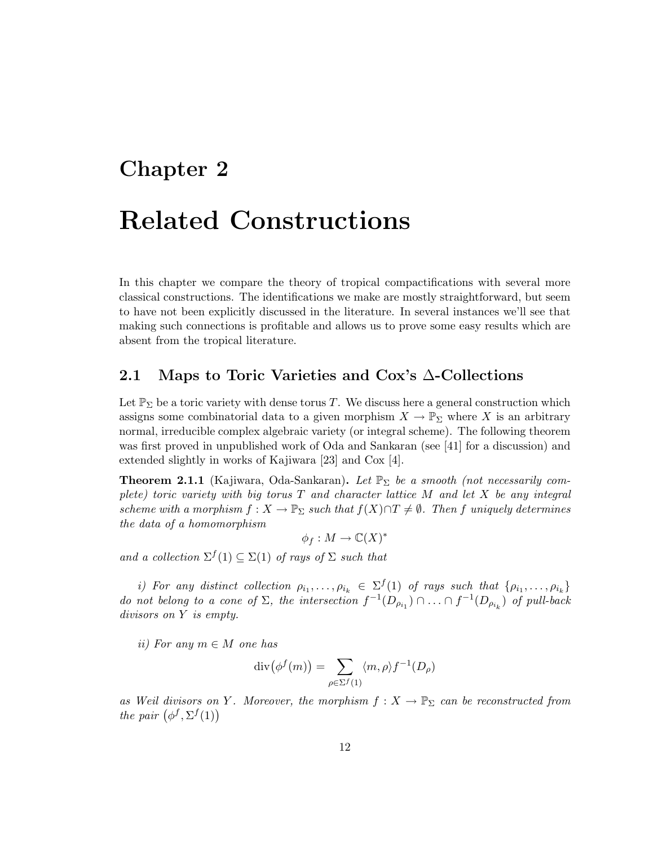# Chapter 2

# Related Constructions

In this chapter we compare the theory of tropical compactifications with several more classical constructions. The identifications we make are mostly straightforward, but seem to have not been explicitly discussed in the literature. In several instances we'll see that making such connections is profitable and allows us to prove some easy results which are absent from the tropical literature.

# 2.1 Maps to Toric Varieties and Cox's ∆-Collections

Let  $\mathbb{P}_{\Sigma}$  be a toric variety with dense torus T. We discuss here a general construction which assigns some combinatorial data to a given morphism  $X \to \mathbb{P}_{\Sigma}$  where X is an arbitrary normal, irreducible complex algebraic variety (or integral scheme). The following theorem was first proved in unpublished work of Oda and Sankaran (see [41] for a discussion) and extended slightly in works of Kajiwara [23] and Cox [4].

**Theorem 2.1.1** (Kajiwara, Oda-Sankaran). Let  $\mathbb{P}_{\Sigma}$  be a smooth (not necessarily complete) toric variety with big torus  $T$  and character lattice  $M$  and let  $X$  be any integral scheme with a morphism  $f : X \to \mathbb{P}_{\Sigma}$  such that  $f(X) \cap T \neq \emptyset$ . Then f uniquely determines the data of a homomorphism

 $\phi_f: M \to \mathbb{C}(X)^*$ 

and a collection  $\Sigma^f(1) \subseteq \Sigma(1)$  of rays of  $\Sigma$  such that

i) For any distinct collection  $\rho_{i_1}, \ldots, \rho_{i_k} \in \Sigma^f(1)$  of rays such that  $\{\rho_{i_1}, \ldots, \rho_{i_k}\}$ do not belong to a cone of  $\Sigma$ , the intersection  $f^{-1}(D_{\rho_{i_1}}) \cap \ldots \cap f^{-1}(D_{\rho_{i_k}})$  of pull-back divisors on Y is empty.

ii) For any  $m \in M$  one has

$$
\operatorname{div}(\phi^f(m)) = \sum_{\rho \in \Sigma^f(1)} \langle m, \rho \rangle f^{-1}(D_\rho)
$$

as Weil divisors on Y. Moreover, the morphism  $f: X \to \mathbb{P}_{\Sigma}$  can be reconstructed from the pair  $(\phi^f, \Sigma^f(1))$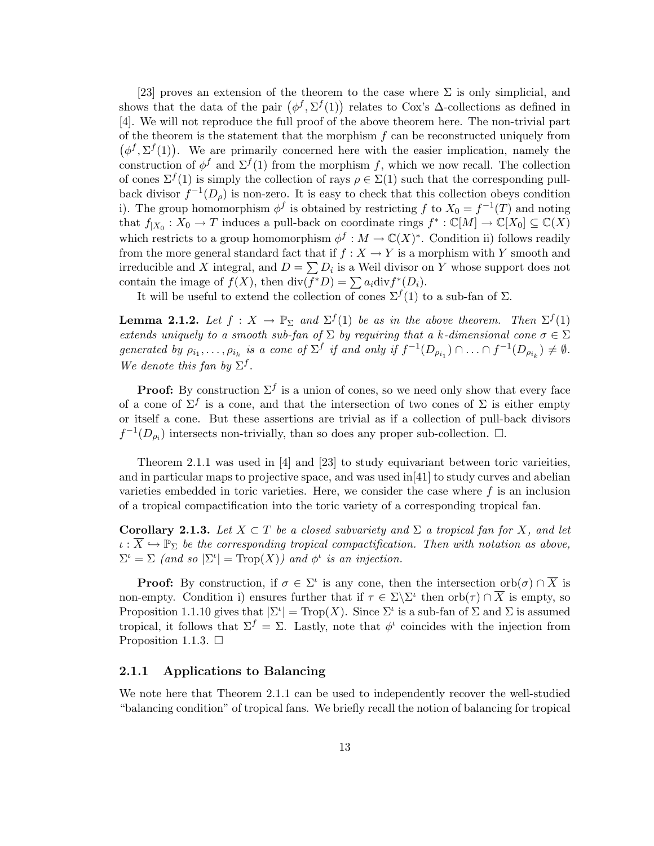[23] proves an extension of the theorem to the case where  $\Sigma$  is only simplicial, and shows that the data of the pair  $(\phi^f, \Sigma^f(1))$  relates to Cox's  $\Delta$ -collections as defined in [4]. We will not reproduce the full proof of the above theorem here. The non-trivial part of the theorem is the statement that the morphism  $f$  can be reconstructed uniquely from  $(\phi^f, \Sigma^f(1))$ . We are primarily concerned here with the easier implication, namely the construction of  $\phi^f$  and  $\Sigma^f(1)$  from the morphism f, which we now recall. The collection of cones  $\Sigma^f(1)$  is simply the collection of rays  $\rho \in \Sigma(1)$  such that the corresponding pullback divisor  $f^{-1}(D_\rho)$  is non-zero. It is easy to check that this collection obeys condition i). The group homomorphism  $\phi^f$  is obtained by restricting f to  $X_0 = f^{-1}(T)$  and noting that  $f_{|X_0}: X_0 \to T$  induces a pull-back on coordinate rings  $f^*: \mathbb{C}[M] \to \mathbb{C}[X_0] \subseteq \mathbb{C}(X)$ which restricts to a group homomorphism  $\phi^f : M \to \mathbb{C}(X)^*$ . Condition ii) follows readily from the more general standard fact that if  $f : X \to Y$  is a morphism with Y smooth and irreducible and X integral, and  $D = \sum D_i$  is a Weil divisor on Y whose support does not contain the image of  $f(X)$ , then  $\text{div}(f^*D) = \sum a_i \text{div} f^*(D_i)$ .

It will be useful to extend the collection of cones  $\Sigma^f(1)$  to a sub-fan of  $\Sigma$ .

**Lemma 2.1.2.** Let  $f: X \to \mathbb{P}_{\Sigma}$  and  $\Sigma^{f}(1)$  be as in the above theorem. Then  $\Sigma^{f}(1)$ extends uniquely to a smooth sub-fan of  $\Sigma$  by requiring that a k-dimensional cone  $\sigma \in \Sigma$ generated by  $\rho_{i_1}, \ldots, \rho_{i_k}$  is a cone of  $\Sigma^f$  if and only if  $f^{-1}(D_{\rho_{i_1}}) \cap \ldots \cap f^{-1}(D_{\rho_{i_k}}) \neq \emptyset$ . We denote this fan by  $\Sigma^f$ .

**Proof:** By construction  $\Sigma^f$  is a union of cones, so we need only show that every face of a cone of  $\Sigma^f$  is a cone, and that the intersection of two cones of  $\Sigma$  is either empty or itself a cone. But these assertions are trivial as if a collection of pull-back divisors  $f^{-1}(D_{\rho_i})$  intersects non-trivially, than so does any proper sub-collection.  $\Box$ .

Theorem 2.1.1 was used in [4] and [23] to study equivariant between toric varieities, and in particular maps to projective space, and was used in[41] to study curves and abelian varieties embedded in toric varieties. Here, we consider the case where  $f$  is an inclusion of a tropical compactification into the toric variety of a corresponding tropical fan.

Corollary 2.1.3. Let  $X \subset T$  be a closed subvariety and  $\Sigma$  a tropical fan for X, and let  $\iota : \overline{X} \hookrightarrow \mathbb{P}_{\Sigma}$  be the corresponding tropical compactification. Then with notation as above,  $\Sigma^{\iota} = \Sigma$  (and so  $|\Sigma^{\iota}| = \text{Trop}(X)$ ) and  $\phi^{\iota}$  is an injection.

**Proof:** By construction, if  $\sigma \in \Sigma^i$  is any cone, then the intersection orb $(\sigma) \cap \overline{X}$  is non-empty. Condition i) ensures further that if  $\tau \in \Sigma \backslash \Sigma^{\iota}$  then  $\mathrm{orb}(\tau) \cap \overline{X}$  is empty, so Proposition 1.1.10 gives that  $|\Sigma^{\iota}| = \text{Top}(X)$ . Since  $\Sigma^{\iota}$  is a sub-fan of  $\Sigma$  and  $\Sigma$  is assumed tropical, it follows that  $\Sigma^f = \Sigma$ . Lastly, note that  $\phi^t$  coincides with the injection from Proposition 1.1.3.  $\Box$ 

#### 2.1.1 Applications to Balancing

We note here that Theorem 2.1.1 can be used to independently recover the well-studied "balancing condition" of tropical fans. We briefly recall the notion of balancing for tropical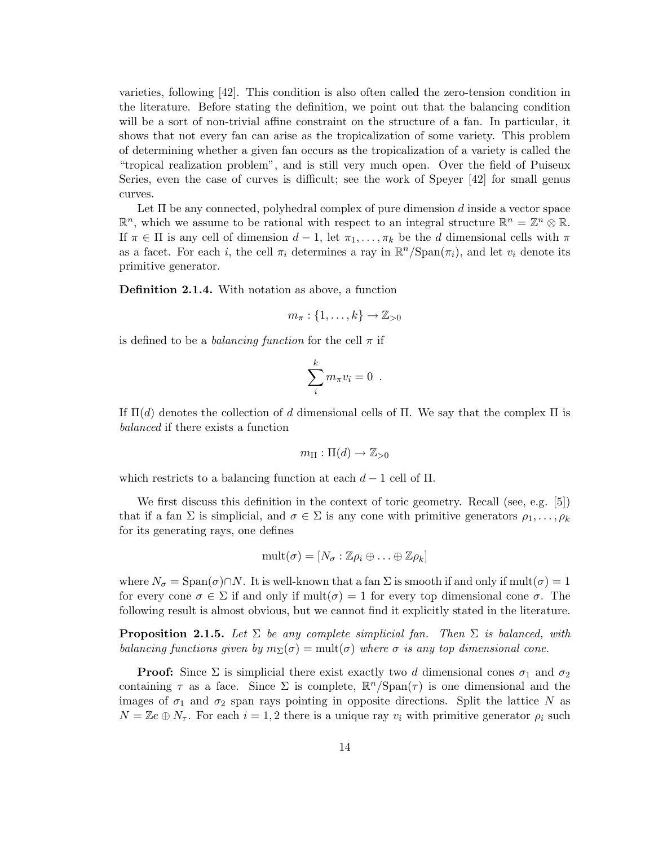varieties, following [42]. This condition is also often called the zero-tension condition in the literature. Before stating the definition, we point out that the balancing condition will be a sort of non-trivial affine constraint on the structure of a fan. In particular, it shows that not every fan can arise as the tropicalization of some variety. This problem of determining whether a given fan occurs as the tropicalization of a variety is called the "tropical realization problem", and is still very much open. Over the field of Puiseux Series, even the case of curves is difficult; see the work of Speyer [42] for small genus curves.

Let  $\Pi$  be any connected, polyhedral complex of pure dimension d inside a vector space  $\mathbb{R}^n$ , which we assume to be rational with respect to an integral structure  $\mathbb{R}^n = \mathbb{Z}^n \otimes \mathbb{R}$ . If  $\pi \in \Pi$  is any cell of dimension  $d-1$ , let  $\pi_1, \ldots, \pi_k$  be the d dimensional cells with  $\pi$ as a facet. For each *i*, the cell  $\pi_i$  determines a ray in  $\mathbb{R}^n/\text{Span}(\pi_i)$ , and let  $v_i$  denote its primitive generator.

Definition 2.1.4. With notation as above, a function

$$
m_{\pi}:\{1,\ldots,k\}\to\mathbb{Z}_{>0}
$$

is defined to be a *balancing function* for the cell  $\pi$  if

$$
\sum_{i}^{k} m_{\pi} v_{i} = 0 .
$$

If  $\Pi(d)$  denotes the collection of d dimensional cells of  $\Pi$ . We say that the complex  $\Pi$  is balanced if there exists a function

$$
m_{\Pi} : \Pi(d) \to \mathbb{Z}_{>0}
$$

which restricts to a balancing function at each  $d-1$  cell of II.

We first discuss this definition in the context of toric geometry. Recall (see, e.g. [5]) that if a fan  $\Sigma$  is simplicial, and  $\sigma \in \Sigma$  is any cone with primitive generators  $\rho_1, \ldots, \rho_k$ for its generating rays, one defines

$$
\text{mult}(\sigma)=[N_{\sigma}:\mathbb{Z}\rho_i\oplus\ldots\oplus\mathbb{Z}\rho_k]
$$

where  $N_{\sigma} = \text{Span}(\sigma) \cap N$ . It is well-known that a fan  $\Sigma$  is smooth if and only if mult $(\sigma) = 1$ for every cone  $\sigma \in \Sigma$  if and only if  $\text{mult}(\sigma) = 1$  for every top dimensional cone  $\sigma$ . The following result is almost obvious, but we cannot find it explicitly stated in the literature.

**Proposition 2.1.5.** Let  $\Sigma$  be any complete simplicial fan. Then  $\Sigma$  is balanced, with balancing functions given by  $m_{\Sigma}(\sigma) = \text{mult}(\sigma)$  where  $\sigma$  is any top dimensional cone.

**Proof:** Since  $\Sigma$  is simplicial there exist exactly two d dimensional cones  $\sigma_1$  and  $\sigma_2$ containing  $\tau$  as a face. Since  $\Sigma$  is complete,  $\mathbb{R}^n/\text{Span}(\tau)$  is one dimensional and the images of  $\sigma_1$  and  $\sigma_2$  span rays pointing in opposite directions. Split the lattice N as  $N = \mathbb{Z}e \oplus N_{\tau}$ . For each  $i = 1, 2$  there is a unique ray  $v_i$  with primitive generator  $\rho_i$  such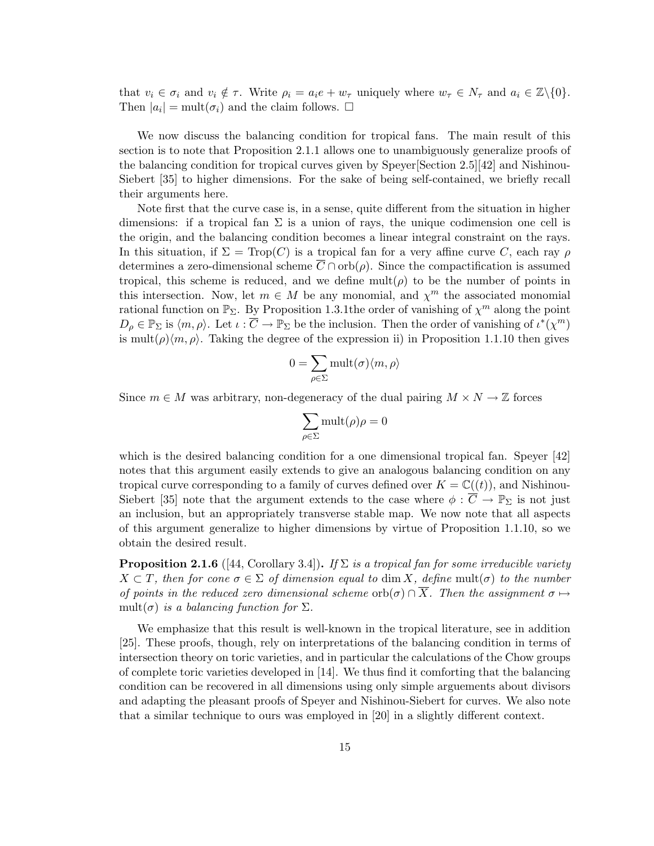that  $v_i \in \sigma_i$  and  $v_i \notin \tau$ . Write  $\rho_i = a_i e + w_\tau$  uniquely where  $w_\tau \in N_\tau$  and  $a_i \in \mathbb{Z}\backslash\{0\}$ . Then  $|a_i| = \text{mult}(\sigma_i)$  and the claim follows.  $\square$ 

We now discuss the balancing condition for tropical fans. The main result of this section is to note that Proposition 2.1.1 allows one to unambiguously generalize proofs of the balancing condition for tropical curves given by Speyer[Section 2.5][42] and Nishinou-Siebert [35] to higher dimensions. For the sake of being self-contained, we briefly recall their arguments here.

Note first that the curve case is, in a sense, quite different from the situation in higher dimensions: if a tropical fan  $\Sigma$  is a union of rays, the unique codimension one cell is the origin, and the balancing condition becomes a linear integral constraint on the rays. In this situation, if  $\Sigma = \text{Trop}(C)$  is a tropical fan for a very affine curve C, each ray  $\rho$ determines a zero-dimensional scheme  $\overline{C} \cap \text{orb}(\rho)$ . Since the compactification is assumed tropical, this scheme is reduced, and we define  $\text{mult}(\rho)$  to be the number of points in this intersection. Now, let  $m \in M$  be any monomial, and  $\chi^m$  the associated monomial rational function on  $\mathbb{P}_{\Sigma}$ . By Proposition 1.3.1 the order of vanishing of  $\chi^m$  along the point  $D_{\rho} \in \mathbb{P}_{\Sigma}$  is  $\langle m, \rho \rangle$ . Let  $\iota : \overline{C} \to \mathbb{P}_{\Sigma}$  be the inclusion. Then the order of vanishing of  $\iota^*(\chi^m)$ is mult( $\rho$ )(*m*,  $\rho$ ). Taking the degree of the expression ii) in Proposition 1.1.10 then gives

$$
0 = \sum_{\rho \in \Sigma} \textnormal{mult}(\sigma)\langle m, \rho \rangle
$$

Since  $m \in M$  was arbitrary, non-degeneracy of the dual pairing  $M \times N \to \mathbb{Z}$  forces

$$
\sum_{\rho \in \Sigma} \textup{mult}(\rho)\rho = 0
$$

which is the desired balancing condition for a one dimensional tropical fan. Speyer [42] notes that this argument easily extends to give an analogous balancing condition on any tropical curve corresponding to a family of curves defined over  $K = \mathbb{C}((t))$ , and Nishinou-Siebert [35] note that the argument extends to the case where  $\phi : \overline{C} \to \mathbb{P}_{\Sigma}$  is not just an inclusion, but an appropriately transverse stable map. We now note that all aspects of this argument generalize to higher dimensions by virtue of Proposition 1.1.10, so we obtain the desired result.

**Proposition 2.1.6** ([44, Corollary 3.4]). If  $\Sigma$  is a tropical fan for some irreducible variety  $X \subset T$ , then for cone  $\sigma \in \Sigma$  of dimension equal to dim X, define mult( $\sigma$ ) to the number of points in the reduced zero dimensional scheme orb $(\sigma) \cap \overline{X}$ . Then the assignment  $\sigma \mapsto$ mult( $\sigma$ ) is a balancing function for  $\Sigma$ .

We emphasize that this result is well-known in the tropical literature, see in addition [25]. These proofs, though, rely on interpretations of the balancing condition in terms of intersection theory on toric varieties, and in particular the calculations of the Chow groups of complete toric varieties developed in [14]. We thus find it comforting that the balancing condition can be recovered in all dimensions using only simple arguements about divisors and adapting the pleasant proofs of Speyer and Nishinou-Siebert for curves. We also note that a similar technique to ours was employed in [20] in a slightly different context.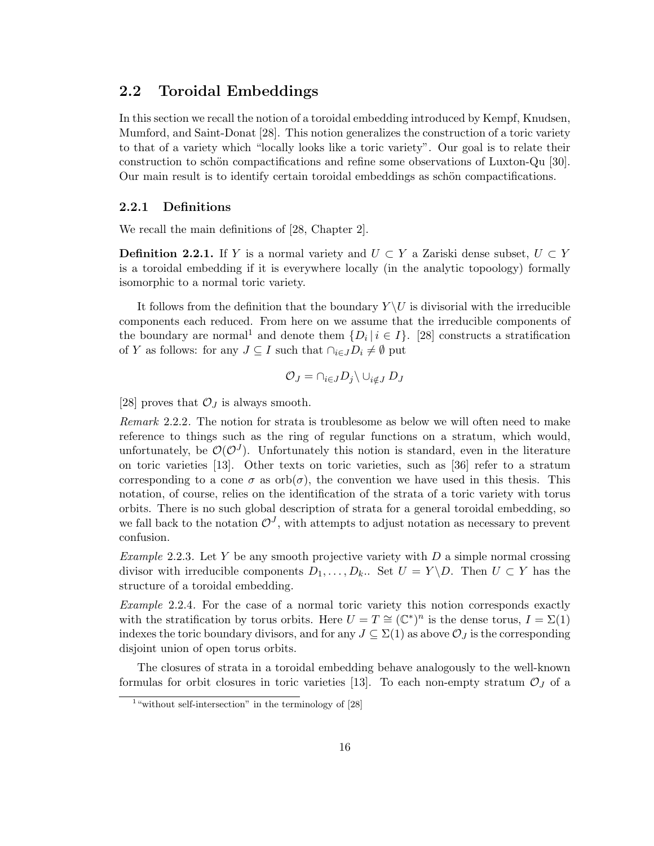# 2.2 Toroidal Embeddings

In this section we recall the notion of a toroidal embedding introduced by Kempf, Knudsen, Mumford, and Saint-Donat [28]. This notion generalizes the construction of a toric variety to that of a variety which "locally looks like a toric variety". Our goal is to relate their construction to schön compactifications and refine some observations of Luxton-Qu [30]. Our main result is to identify certain toroidal embeddings as schön compactifications.

#### 2.2.1 Definitions

We recall the main definitions of [28, Chapter 2].

**Definition 2.2.1.** If Y is a normal variety and  $U \subset Y$  a Zariski dense subset,  $U \subset Y$ is a toroidal embedding if it is everywhere locally (in the analytic topoology) formally isomorphic to a normal toric variety.

It follows from the definition that the boundary  $Y \setminus U$  is divisorial with the irreducible components each reduced. From here on we assume that the irreducible components of the boundary are normal<sup>1</sup> and denote them  $\{D_i | i \in I\}$ . [28] constructs a stratification of Y as follows: for any  $J \subseteq I$  such that  $\cap_{i \in J} D_i \neq \emptyset$  put

$$
\mathcal{O}_J = \cap_{i \in J} D_j \backslash \cup_{i \notin J} D_J
$$

[28] proves that  $\mathcal{O}_J$  is always smooth.

Remark 2.2.2. The notion for strata is troublesome as below we will often need to make reference to things such as the ring of regular functions on a stratum, which would, unfortunately, be  $\mathcal{O}(\mathcal{O}^J)$ . Unfortunately this notion is standard, even in the literature on toric varieties [13]. Other texts on toric varieties, such as [36] refer to a stratum corresponding to a cone  $\sigma$  as  $orb(\sigma)$ , the convention we have used in this thesis. This notation, of course, relies on the identification of the strata of a toric variety with torus orbits. There is no such global description of strata for a general toroidal embedding, so we fall back to the notation  $\mathcal{O}^J$ , with attempts to adjust notation as necessary to prevent confusion.

*Example* 2.2.3. Let Y be any smooth projective variety with  $D$  a simple normal crossing divisor with irreducible components  $D_1, \ldots, D_k$ .. Set  $U = Y \backslash D$ . Then  $U \subset Y$  has the structure of a toroidal embedding.

Example 2.2.4. For the case of a normal toric variety this notion corresponds exactly with the stratification by torus orbits. Here  $U = T \cong (\mathbb{C}^*)^n$  is the dense torus,  $I = \Sigma(1)$ indexes the toric boundary divisors, and for any  $J \subseteq \Sigma(1)$  as above  $\mathcal{O}_J$  is the corresponding disjoint union of open torus orbits.

The closures of strata in a toroidal embedding behave analogously to the well-known formulas for orbit closures in toric varieties [13]. To each non-empty stratum  $\mathcal{O}_J$  of a

<sup>&</sup>lt;sup>1</sup> "without self-intersection" in the terminology of [28]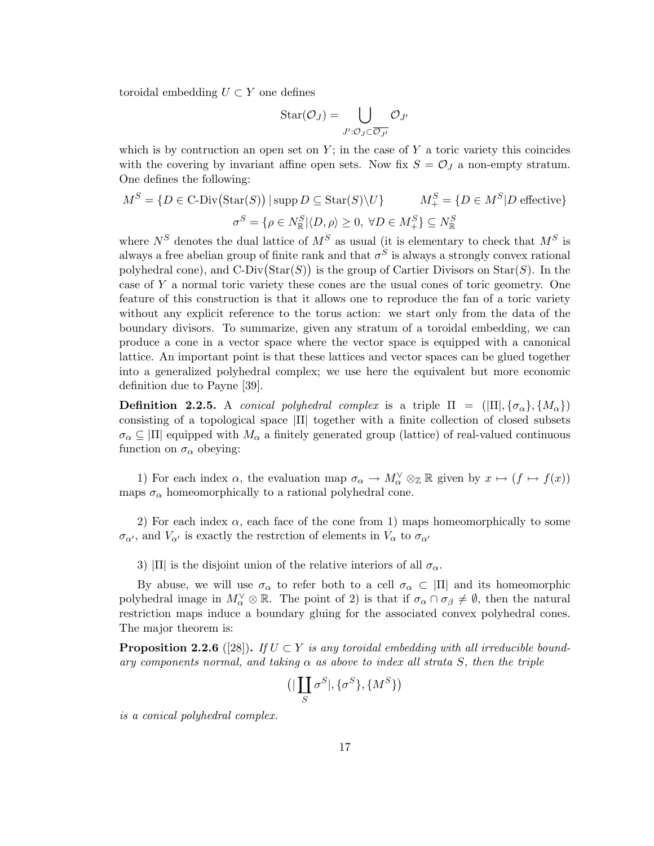toroidal embedding  $U \subset Y$  one defines

$$
\operatorname{Star}(\mathcal{O}_J)=\bigcup_{J':\mathcal{O}_J\subset\overline{\mathcal{O}_{J'}}}\mathcal{O}_{J'}
$$

which is by contruction an open set on  $Y$ ; in the case of  $Y$  a toric variety this coincides with the covering by invariant affine open sets. Now fix  $S = \mathcal{O}_J$  a non-empty stratum. One defines the following:

$$
M^S = \{ D \in \text{C-Div}(\text{Star}(S)) \mid \text{supp } D \subseteq \text{Star}(S) \setminus U \} \qquad M^S_+ = \{ D \in M^S | D \text{ effective} \}
$$

$$
\sigma^S = \{ \rho \in N^S_{\mathbb{R}} | \langle D, \rho \rangle \ge 0, \ \forall D \in M^S_+ \} \subseteq N^S_{\mathbb{R}}
$$

where  $N^S$  denotes the dual lattice of  $M^S$  as usual (it is elementary to check that  $M^S$  is always a free abelian group of finite rank and that  $\sigma^S$  is always a strongly convex rational polyhedral cone), and  $C\text{-Div}(Star(S))$  is the group of Cartier Divisors on  $Star(S)$ . In the case of Y a normal toric variety these cones are the usual cones of toric geometry. One feature of this construction is that it allows one to reproduce the fan of a toric variety without any explicit reference to the torus action: we start only from the data of the boundary divisors. To summarize, given any stratum of a toroidal embedding, we can produce a cone in a vector space where the vector space is equipped with a canonical lattice. An important point is that these lattices and vector spaces can be glued together into a generalized polyhedral complex; we use here the equivalent but more economic definition due to Payne [39].

**Definition 2.2.5.** A conical polyhedral complex is a triple  $\Pi = (|\Pi|, {\sigma_{\alpha}}, {\Lambda_{\alpha}})$ consisting of a topological space |Π| together with a finite collection of closed subsets  $\sigma_{\alpha} \subseteq |\Pi|$  equipped with  $M_{\alpha}$  a finitely generated group (lattice) of real-valued continuous function on  $\sigma_{\alpha}$  obeying:

1) For each index  $\alpha$ , the evaluation map  $\sigma_{\alpha} \to M_{\alpha}^{\vee} \otimes_{\mathbb{Z}} \mathbb{R}$  given by  $x \mapsto (f \mapsto f(x))$ maps  $\sigma_{\alpha}$  homeomorphically to a rational polyhedral cone.

2) For each index  $\alpha$ , each face of the cone from 1) maps homeomorphically to some  $\sigma_{\alpha'}$ , and  $V_{\alpha'}$  is exactly the restrction of elements in  $V_{\alpha}$  to  $\sigma_{\alpha'}$ 

3)  $|\Pi|$  is the disjoint union of the relative interiors of all  $\sigma_{\alpha}$ .

By abuse, we will use  $\sigma_{\alpha}$  to refer both to a cell  $\sigma_{\alpha} \subset |\Pi|$  and its homeomorphic polyhedral image in  $M_{\alpha}^{\vee} \otimes \mathbb{R}$ . The point of 2) is that if  $\sigma_{\alpha} \cap \sigma_{\beta} \neq \emptyset$ , then the natural restriction maps induce a boundary gluing for the associated convex polyhedral cones. The major theorem is:

**Proposition 2.2.6** ([28]). If  $U \subset Y$  is any toroidal embedding with all irreducible boundary components normal, and taking  $\alpha$  as above to index all strata S, then the triple

$$
\big(\big|\coprod_S \sigma^S\big|,\{\sigma^S\},\{M^S\}\big)
$$

is a conical polyhedral complex.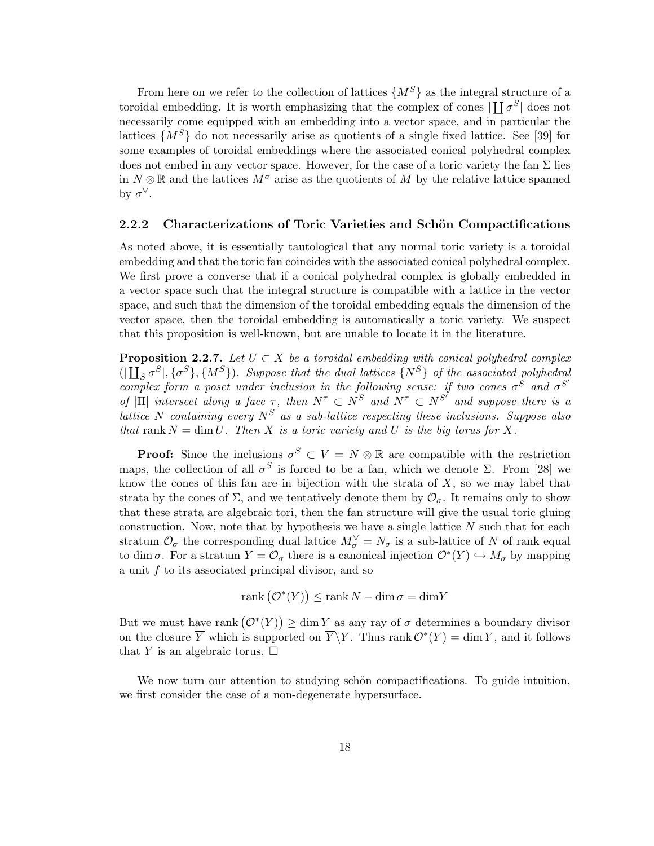From here on we refer to the collection of lattices  $\{M^S\}$  as the integral structure of a toroidal embedding. It is worth emphasizing that the complex of cones  $\prod_{i} \sigma_i^S$  does not necessarily come equipped with an embedding into a vector space, and in particular the lattices  $\{M^S\}$  do not necessarily arise as quotients of a single fixed lattice. See [39] for some examples of toroidal embeddings where the associated conical polyhedral complex does not embed in any vector space. However, for the case of a toric variety the fan  $\Sigma$  lies in  $N \otimes \mathbb{R}$  and the lattices  $M^{\sigma}$  arise as the quotients of M by the relative lattice spanned by  $\sigma^{\vee}$ .

#### 2.2.2 Characterizations of Toric Varieties and Schön Compactifications

As noted above, it is essentially tautological that any normal toric variety is a toroidal embedding and that the toric fan coincides with the associated conical polyhedral complex. We first prove a converse that if a conical polyhedral complex is globally embedded in a vector space such that the integral structure is compatible with a lattice in the vector space, and such that the dimension of the toroidal embedding equals the dimension of the vector space, then the toroidal embedding is automatically a toric variety. We suspect that this proposition is well-known, but are unable to locate it in the literature.

**Proposition 2.2.7.** Let  $U \subset X$  be a toroidal embedding with conical polyhedral complex  $(|\prod_S \sigma^S|, \{\sigma^S\}, \{M^S\})$ . Suppose that the dual lattices  $\{N^S\}$  of the associated polyhedral complex form a poset under inclusion in the following sense: if two cones  $\sigma^S$  and  $\sigma^{S'}$ of  $|\Pi|$  intersect along a face  $\tau$ , then  $N^{\tau} \subset N^{S'}$  and  $N^{\tau} \subset N^{S'}$  and suppose there is a lattice N containing every  $N^S$  as a sub-lattice respecting these inclusions. Suppose also that rank  $N = \dim U$ . Then X is a toric variety and U is the big torus for X.

**Proof:** Since the inclusions  $\sigma^S \subset V = N \otimes \mathbb{R}$  are compatible with the restriction maps, the collection of all  $\sigma^S$  is forced to be a fan, which we denote  $\Sigma$ . From [28] we know the cones of this fan are in bijection with the strata of  $X$ , so we may label that strata by the cones of  $\Sigma$ , and we tentatively denote them by  $\mathcal{O}_{\sigma}$ . It remains only to show that these strata are algebraic tori, then the fan structure will give the usual toric gluing construction. Now, note that by hypothesis we have a single lattice  $N$  such that for each stratum  $\mathcal{O}_{\sigma}$  the corresponding dual lattice  $M_{\sigma}^{\vee} = N_{\sigma}$  is a sub-lattice of N of rank equal to dim  $\sigma$ . For a stratum  $Y = \mathcal{O}_{\sigma}$  there is a canonical injection  $\mathcal{O}^*(Y) \hookrightarrow M_{\sigma}$  by mapping a unit  $f$  to its associated principal divisor, and so

$$
rank(\mathcal{O}^*(Y)) \leq rank N - dim \sigma = dim Y
$$

But we must have rank  $(\mathcal{O}^*(Y)) \ge \dim Y$  as any ray of  $\sigma$  determines a boundary divisor on the closure  $\overline{Y}$  which is supported on  $\overline{Y} \backslash Y$ . Thus rank  $\mathcal{O}^*(Y) = \dim Y$ , and it follows that Y is an algebraic torus.  $\square$ 

We now turn our attention to studying schön compactifications. To guide intuition, we first consider the case of a non-degenerate hypersurface.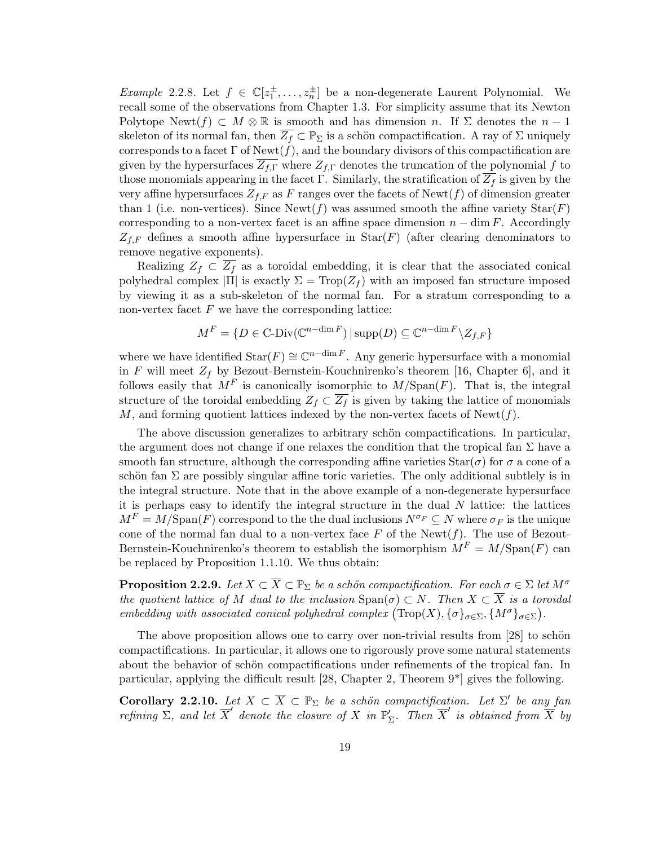*Example* 2.2.8. Let  $f \in \mathbb{C}[z_1^{\pm},...,z_n^{\pm}]$  be a non-degenerate Laurent Polynomial. We recall some of the observations from Chapter 1.3. For simplicity assume that its Newton Polytope Newt(f)  $\subset M \otimes \mathbb{R}$  is smooth and has dimension n. If  $\Sigma$  denotes the  $n-1$ skeleton of its normal fan, then  $\overline{Z_f} \subset \mathbb{P}_{\Sigma}$  is a schön compactification. A ray of  $\Sigma$  uniquely corresponds to a facet  $\Gamma$  of Newt $(f)$ , and the boundary divisors of this compactification are given by the hypersurfaces  $Z_{f,\Gamma}$  where  $Z_{f,\Gamma}$  denotes the truncation of the polynomial f to those monomials appearing in the facet Γ. Similarly, the stratification of  $\overline{Z_f}$  is given by the very affine hypersurfaces  $Z_{f,F}$  as F ranges over the facets of Newt(f) of dimension greater than 1 (i.e. non-vertices). Since  $\text{Newt}(f)$  was assumed smooth the affine variety  $\text{Star}(F)$ corresponding to a non-vertex facet is an affine space dimension  $n - \dim F$ . Accordingly  $Z_{f,F}$  defines a smooth affine hypersurface in  $\text{Star}(F)$  (after clearing denominators to remove negative exponents).

Realizing  $Z_f \subset \overline{Z_f}$  as a toroidal embedding, it is clear that the associated conical polyhedral complex  $|\Pi|$  is exactly  $\Sigma = \text{Top}(Z_f)$  with an imposed fan structure imposed by viewing it as a sub-skeleton of the normal fan. For a stratum corresponding to a non-vertex facet  $F$  we have the corresponding lattice:

$$
M^F = \{ D \in \text{C-Div}(\mathbb{C}^{n-\dim F}) \, | \, \text{supp}(D) \subseteq \mathbb{C}^{n-\dim F} \backslash Z_{f,F} \}
$$

where we have identified  $\text{Star}(F) \cong \mathbb{C}^{n-\dim F}$ . Any generic hypersurface with a monomial in F will meet  $Z_f$  by Bezout-Bernstein-Kouchnirenko's theorem [16, Chapter 6], and it follows easily that  $M^F$  is canonically isomorphic to  $M/\text{Span}(F)$ . That is, the integral structure of the toroidal embedding  $Z_f \subset \overline{Z_f}$  is given by taking the lattice of monomials M, and forming quotient lattices indexed by the non-vertex facets of  $\text{Newt}(f)$ .

The above discussion generalizes to arbitrary schön compactifications. In particular, the argument does not change if one relaxes the condition that the tropical fan  $\Sigma$  have a smooth fan structure, although the corresponding affine varieties  $\text{Star}(\sigma)$  for  $\sigma$  a cone of a schön fan  $\Sigma$  are possibly singular affine toric varieties. The only additional subtlely is in the integral structure. Note that in the above example of a non-degenerate hypersurface it is perhaps easy to identify the integral structure in the dual  $N$  lattice: the lattices  $M^F = M/\text{Span}(F)$  correspond to the the dual inclusions  $N^{\sigma_F} \subseteq N$  where  $\sigma_F$  is the unique cone of the normal fan dual to a non-vertex face  $F$  of the Newt( $f$ ). The use of Bezout-Bernstein-Kouchnirenko's theorem to establish the isomorphism  $M<sup>F</sup> = M/\text{Span}(F)$  can be replaced by Proposition 1.1.10. We thus obtain:

**Proposition 2.2.9.** Let  $X \subset \overline{X} \subset \mathbb{P}_{\Sigma}$  be a schön compactification. For each  $\sigma \in \Sigma$  let  $M^{\sigma}$ the quotient lattice of M dual to the inclusion  $\text{Span}(\sigma) \subset N$ . Then  $X \subset \overline{X}$  is a toroidal embedding with associated conical polyhedral complex  $(\text{Top}(X), \{\sigma\}_{\sigma \in \Sigma}, \{M^{\sigma}\}_{\sigma \in \Sigma})$ .

The above proposition allows one to carry over non-trivial results from  $[28]$  to schön compactifications. In particular, it allows one to rigorously prove some natural statements about the behavior of schön compactifications under refinements of the tropical fan. In particular, applying the difficult result [28, Chapter 2, Theorem 9\*] gives the following.

**Corollary 2.2.10.** Let  $X \subset \overline{X} \subset \mathbb{P}_{\Sigma}$  be a schön compactification. Let  $\Sigma'$  be any fan refining  $\Sigma$ , and let  $\overline{X}'$  denote the closure of X in  $\mathbb{P}'_{\Sigma}$ . Then  $\overline{X}'$  is obtained from  $\overline{X}'$  by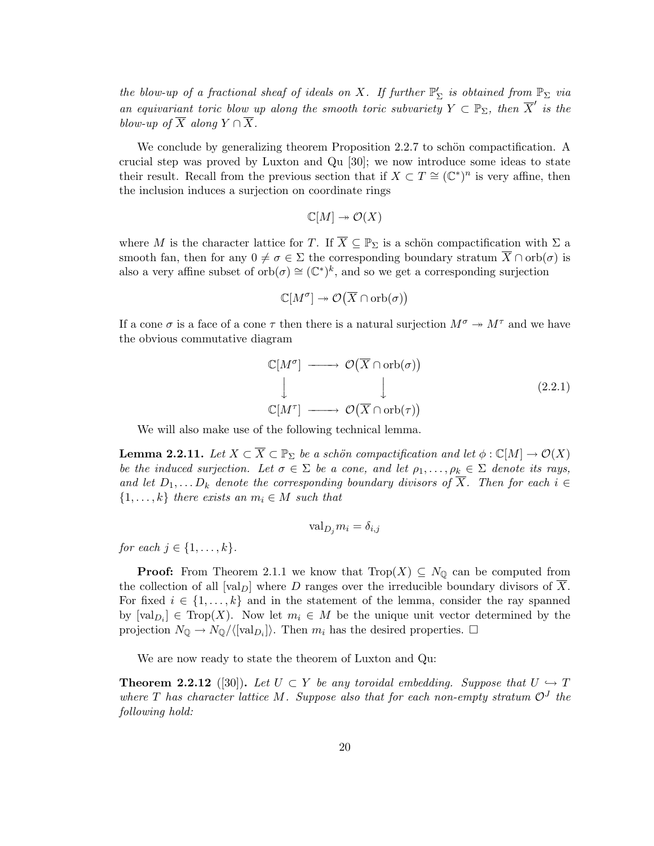the blow-up of a fractional sheaf of ideals on X. If further  $\mathbb{P}'_{\Sigma}$  is obtained from  $\mathbb{P}_{\Sigma}$  via an equivariant toric blow up along the smooth toric subvariety  $Y \subset \mathbb{P}_{\Sigma}$ , then  $\overline{X}'$  is the blow-up of  $\overline{X}$  along  $Y \cap \overline{X}$ .

We conclude by generalizing theorem Proposition  $2.2.7$  to schön compactification. A crucial step was proved by Luxton and Qu [30]; we now introduce some ideas to state their result. Recall from the previous section that if  $X \subset T \cong (\mathbb{C}^*)^n$  is very affine, then the inclusion induces a surjection on coordinate rings

$$
\mathbb{C}[M] \twoheadrightarrow \mathcal{O}(X)
$$

where M is the character lattice for T. If  $\overline{X} \subseteq \mathbb{P}_{\Sigma}$  is a schön compactification with  $\Sigma$  a smooth fan, then for any  $0 \neq \sigma \in \Sigma$  the corresponding boundary stratum  $\overline{X} \cap \text{orb}(\sigma)$  is also a very affine subset of  $orb(\sigma) \cong (\mathbb{C}^*)^k$ , and so we get a corresponding surjection

$$
\mathbb{C}[M^{\sigma}] \twoheadrightarrow \mathcal{O}(\overline{X} \cap \mathrm{orb}(\sigma))
$$

If a cone  $\sigma$  is a face of a cone  $\tau$  then there is a natural surjection  $M^{\sigma} \to M^{\tau}$  and we have the obvious commutative diagram

$$
\mathbb{C}[M^{\sigma}] \longrightarrow \mathcal{O}(\overline{X} \cap \text{orb}(\sigma))
$$
\n
$$
\downarrow \qquad \qquad \downarrow \qquad (2.2.1)
$$
\n
$$
\mathbb{C}[M^{\tau}] \longrightarrow \mathcal{O}(\overline{X} \cap \text{orb}(\tau))
$$

We will also make use of the following technical lemma.

**Lemma 2.2.11.** Let  $X \subset \overline{X} \subset \mathbb{P}_{\Sigma}$  be a schön compactification and let  $\phi : \mathbb{C}[M] \to \mathcal{O}(X)$ be the induced surjection. Let  $\sigma \in \Sigma$  be a cone, and let  $\rho_1, \ldots, \rho_k \in \Sigma$  denote its rays, and let  $D_1, \ldots, D_k$  denote the corresponding boundary divisors of  $\overline{X}$ . Then for each  $i \in$  $\{1, \ldots, k\}$  there exists an  $m_i \in M$  such that

$$
\text{val}_{D_j} m_i = \delta_{i,j}
$$

for each  $j \in \{1, \ldots, k\}$ .

**Proof:** From Theorem 2.1.1 we know that  $Trop(X) \subseteq N_{\mathbb{Q}}$  can be computed from the collection of all  $[\text{val}_D]$  where D ranges over the irreducible boundary divisors of X. For fixed  $i \in \{1, \ldots, k\}$  and in the statement of the lemma, consider the ray spanned by  $[\text{val}_{D_i}] \in \text{Top}(X)$ . Now let  $m_i \in M$  be the unique unit vector determined by the projection  $N_{\mathbb{Q}} \to N_{\mathbb{Q}}/\langle [\text{val}_{D_i}]\rangle$ . Then  $m_i$  has the desired properties.  $\Box$ 

We are now ready to state the theorem of Luxton and Qu:

**Theorem 2.2.12** ([30]). Let  $U \subset Y$  be any toroidal embedding. Suppose that  $U \hookrightarrow T$ where T has character lattice M. Suppose also that for each non-empty stratum  $\mathcal{O}^J$  the following hold: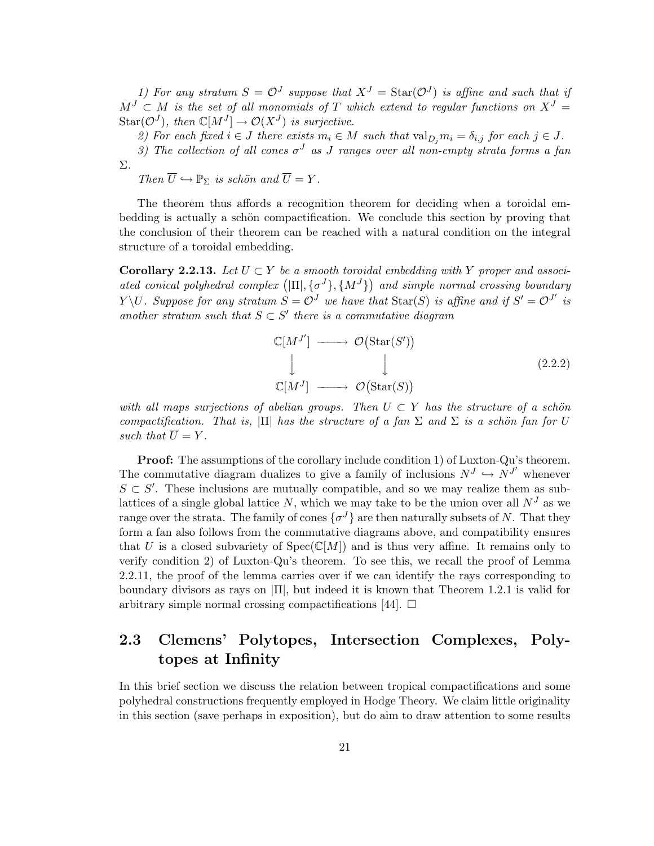1) For any stratum  $S = \mathcal{O}^J$  suppose that  $X^J = \text{Star}(\mathcal{O}^J)$  is affine and such that if  $M^J \subset M$  is the set of all monomials of T which extend to regular functions on  $X^J =$  $\text{Star}(\mathcal{O}^J)$ , then  $\mathbb{C}[M^J] \to \mathcal{O}(X^J)$  is surjective.

2) For each fixed  $i \in J$  there exists  $m_i \in M$  such that  $\text{val}_{D_i} m_i = \delta_{i,j}$  for each  $j \in J$ .

3) The collection of all cones  $\sigma^J$  as J ranges over all non-empty strata forms a fan Σ.

Then  $\overline{U} \hookrightarrow \mathbb{P}_{\Sigma}$  is schön and  $\overline{U} = Y$ .

The theorem thus affords a recognition theorem for deciding when a toroidal embedding is actually a schön compactification. We conclude this section by proving that the conclusion of their theorem can be reached with a natural condition on the integral structure of a toroidal embedding.

**Corollary 2.2.13.** Let  $U \subset Y$  be a smooth toroidal embedding with Y proper and associated conical polyhedral complex  $(|\Pi|, {\{\sigma^{J}\}, \{M^{J}\}})$  and simple normal crossing boundary Y\U. Suppose for any stratum  $S = \mathcal{O}^J$  we have that  $\text{Star}(S)$  is affine and if  $S' = \mathcal{O}^{J'}$  is another stratum such that  $S \subset S'$  there is a commutative diagram

$$
\mathbb{C}[M^{J'}] \longrightarrow \mathcal{O}(\text{Star}(S'))
$$
\n
$$
\downarrow \qquad \qquad \downarrow \qquad (2.2.2)
$$
\n
$$
\mathbb{C}[M^{J}] \longrightarrow \mathcal{O}(\text{Star}(S))
$$

with all maps surjections of abelian groups. Then  $U \subset Y$  has the structure of a schön compactification. That is,  $|\Pi|$  has the structure of a fan  $\Sigma$  and  $\Sigma$  is a schön fan for U such that  $\overline{U} = Y$ .

Proof: The assumptions of the corollary include condition 1) of Luxton-Qu's theorem. The commutative diagram dualizes to give a family of inclusions  $N^J \hookrightarrow N^{J'}$  whenever  $S \subset S'$ . These inclusions are mutually compatible, and so we may realize them as sublattices of a single global lattice N, which we may take to be the union over all  $N<sup>J</sup>$  as we range over the strata. The family of cones  $\{\sigma^J\}$  are then naturally subsets of N. That they form a fan also follows from the commutative diagrams above, and compatibility ensures that U is a closed subvariety of  $Spec(\mathbb{C}[M])$  and is thus very affine. It remains only to verify condition 2) of Luxton-Qu's theorem. To see this, we recall the proof of Lemma 2.2.11, the proof of the lemma carries over if we can identify the rays corresponding to boundary divisors as rays on  $\Pi$ , but indeed it is known that Theorem 1.2.1 is valid for arbitrary simple normal crossing compactifications [44].  $\Box$ 

# 2.3 Clemens' Polytopes, Intersection Complexes, Polytopes at Infinity

In this brief section we discuss the relation between tropical compactifications and some polyhedral constructions frequently employed in Hodge Theory. We claim little originality in this section (save perhaps in exposition), but do aim to draw attention to some results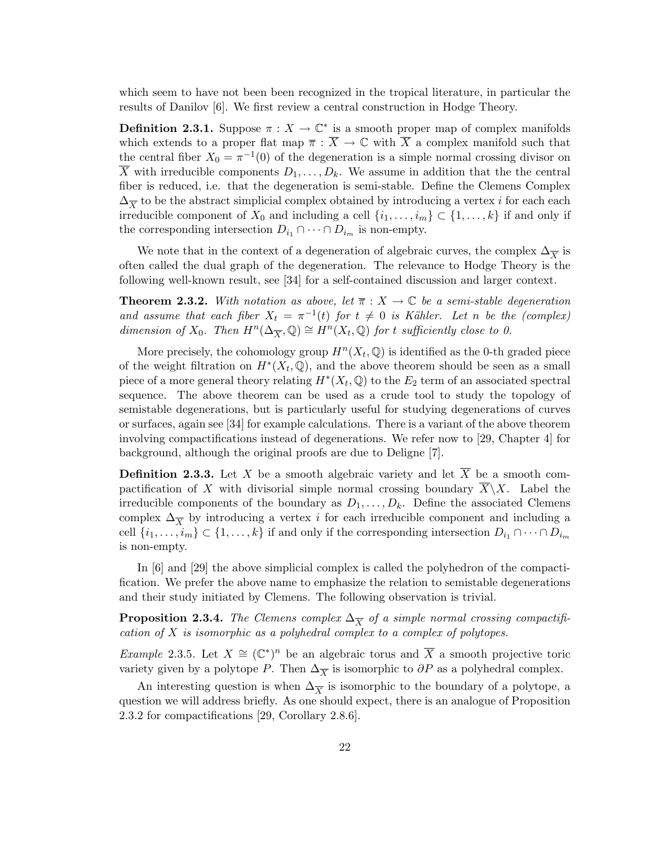which seem to have not been been recognized in the tropical literature, in particular the results of Danilov [6]. We first review a central construction in Hodge Theory.

**Definition 2.3.1.** Suppose  $\pi : X \to \mathbb{C}^*$  is a smooth proper map of complex manifolds which extends to a proper flat map  $\overline{\pi} : \overline{X} \to \mathbb{C}$  with  $\overline{X}$  a complex manifold such that the central fiber  $X_0 = \pi^{-1}(0)$  of the degeneration is a simple normal crossing divisor on  $\overline{X}$  with irreducible components  $D_1, \ldots, D_k$ . We assume in addition that the the central fiber is reduced, i.e. that the degeneration is semi-stable. Define the Clemens Complex  $\Delta_{\overline{X}}$  to be the abstract simplicial complex obtained by introducing a vertex i for each each irreducible component of  $X_0$  and including a cell  $\{i_1, \ldots, i_m\} \subset \{1, \ldots, k\}$  if and only if the corresponding intersection  $D_{i_1} \cap \cdots \cap D_{i_m}$  is non-empty.

We note that in the context of a degeneration of algebraic curves, the complex  $\Delta_{\overline{X}}$  is often called the dual graph of the degeneration. The relevance to Hodge Theory is the following well-known result, see [34] for a self-contained discussion and larger context.

**Theorem 2.3.2.** With notation as above, let  $\overline{\pi}: X \to \mathbb{C}$  be a semi-stable degeneration and assume that each fiber  $X_t = \pi^{-1}(t)$  for  $t \neq 0$  is Kähler. Let n be the (complex) dimension of  $X_0$ . Then  $H^n(\Delta_{\overline{X}}, \mathbb{Q}) \cong H^n(X_t, \mathbb{Q})$  for t sufficiently close to 0.

More precisely, the cohomology group  $H^n(X_t, \mathbb{Q})$  is identified as the 0-th graded piece of the weight filtration on  $H^*(X_t, \mathbb{Q})$ , and the above theorem should be seen as a small piece of a more general theory relating  $H^*(X_t, \mathbb{Q})$  to the  $E_2$  term of an associated spectral sequence. The above theorem can be used as a crude tool to study the topology of semistable degenerations, but is particularly useful for studying degenerations of curves or surfaces, again see [34] for example calculations. There is a variant of the above theorem involving compactifications instead of degenerations. We refer now to [29, Chapter 4] for background, although the original proofs are due to Deligne [7].

**Definition 2.3.3.** Let X be a smooth algebraic variety and let  $\overline{X}$  be a smooth compactification of X with divisorial simple normal crossing boundary  $\overline{X}\setminus X$ . Label the irreducible components of the boundary as  $D_1, \ldots, D_k$ . Define the associated Clemens complex  $\Delta_{\overline{X}}$  by introducing a vertex *i* for each irreducible component and including a cell  $\{i_1, \ldots, i_m\} \subset \{1, \ldots, k\}$  if and only if the corresponding intersection  $D_{i_1} \cap \cdots \cap D_{i_m}$ is non-empty.

In [6] and [29] the above simplicial complex is called the polyhedron of the compactification. We prefer the above name to emphasize the relation to semistable degenerations and their study initiated by Clemens. The following observation is trivial.

**Proposition 2.3.4.** The Clemens complex  $\Delta_{\overline{X}}$  of a simple normal crossing compactification of X is isomorphic as a polyhedral complex to a complex of polytopes.

Example 2.3.5. Let  $X \cong (\mathbb{C}^*)^n$  be an algebraic torus and  $\overline{X}$  a smooth projective toric variety given by a polytope P. Then  $\Delta_{\overline{X}}$  is isomorphic to  $\partial P$  as a polyhedral complex.

An interesting question is when  $\Delta_{\overline{X}}$  is isomorphic to the boundary of a polytope, a question we will address briefly. As one should expect, there is an analogue of Proposition 2.3.2 for compactifications [29, Corollary 2.8.6].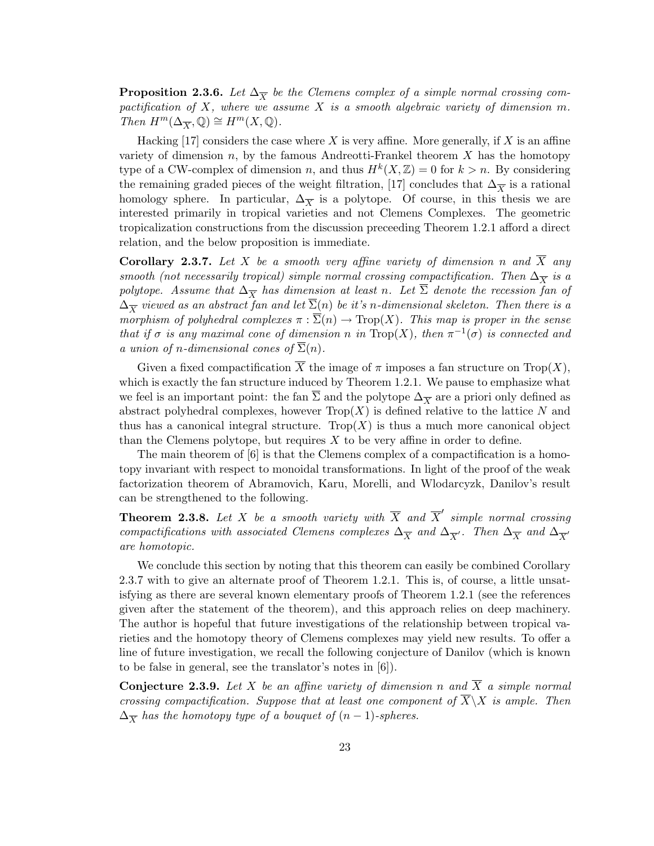**Proposition 2.3.6.** Let  $\Delta_{\overline{X}}$  be the Clemens complex of a simple normal crossing compactification of X, where we assume X is a smooth algebraic variety of dimension  $m$ . Then  $H^m(\Delta_{\overline{X}}, \mathbb{Q}) \cong H^m(X, \mathbb{Q})$ .

Hacking  $[17]$  considers the case where X is very affine. More generally, if X is an affine variety of dimension  $n$ , by the famous Andreotti-Frankel theorem  $X$  has the homotopy type of a CW-complex of dimension n, and thus  $H^k(X, \mathbb{Z}) = 0$  for  $k > n$ . By considering the remaining graded pieces of the weight filtration, [17] concludes that  $\Delta_{\overline{X}}$  is a rational homology sphere. In particular,  $\Delta_{\overline{X}}$  is a polytope. Of course, in this thesis we are interested primarily in tropical varieties and not Clemens Complexes. The geometric tropicalization constructions from the discussion preceeding Theorem 1.2.1 afford a direct relation, and the below proposition is immediate.

**Corollary 2.3.7.** Let X be a smooth very affine variety of dimension n and  $\overline{X}$  any smooth (not necessarily tropical) simple normal crossing compactification. Then  $\Delta_{\overline{X}}$  is a polytope. Assume that  $\Delta_{\overline{X}}$  has dimension at least n. Let  $\overline{\Sigma}$  denote the recession fan of  $\Delta_{\overline{X}}$  viewed as an abstract fan and let  $\Sigma(n)$  be it's n-dimensional skeleton. Then there is a morphism of polyhedral complexes  $\pi : \overline{\Sigma}(n) \to \text{Trop}(X)$ . This map is proper in the sense that if  $\sigma$  is any maximal cone of dimension n in Trop(X), then  $\pi^{-1}(\sigma)$  is connected and a union of n-dimensional cones of  $\overline{\Sigma}(n)$ .

Given a fixed compactification  $\overline{X}$  the image of  $\pi$  imposes a fan structure on Trop(X), which is exactly the fan structure induced by Theorem 1.2.1. We pause to emphasize what we feel is an important point: the fan  $\Sigma$  and the polytope  $\Delta_{\overline{X}}$  are a priori only defined as abstract polyhedral complexes, however  $\text{Top}(X)$  is defined relative to the lattice N and thus has a canonical integral structure. Trop $(X)$  is thus a much more canonical object than the Clemens polytope, but requires  $X$  to be very affine in order to define.

The main theorem of [6] is that the Clemens complex of a compactification is a homotopy invariant with respect to monoidal transformations. In light of the proof of the weak factorization theorem of Abramovich, Karu, Morelli, and Wlodarcyzk, Danilov's result can be strengthened to the following.

**Theorem 2.3.8.** Let X be a smooth variety with  $\overline{X}$  and  $\overline{X}'$  simple normal crossing compactifications with associated Clemens complexes  $\Delta_{\overline{X}}$  and  $\Delta_{\overline{X}'}$ . Then  $\Delta_{\overline{X}}$  and  $\Delta_{\overline{X}'}$ are homotopic.

We conclude this section by noting that this theorem can easily be combined Corollary 2.3.7 with to give an alternate proof of Theorem 1.2.1. This is, of course, a little unsatisfying as there are several known elementary proofs of Theorem 1.2.1 (see the references given after the statement of the theorem), and this approach relies on deep machinery. The author is hopeful that future investigations of the relationship between tropical varieties and the homotopy theory of Clemens complexes may yield new results. To offer a line of future investigation, we recall the following conjecture of Danilov (which is known to be false in general, see the translator's notes in [6]).

**Conjecture 2.3.9.** Let X be an affine variety of dimension n and  $\overline{X}$  a simple normal crossing compactification. Suppose that at least one component of  $\overline{X}\setminus X$  is ample. Then  $\Delta_{\overline{X}}$  has the homotopy type of a bouquet of  $(n-1)$ -spheres.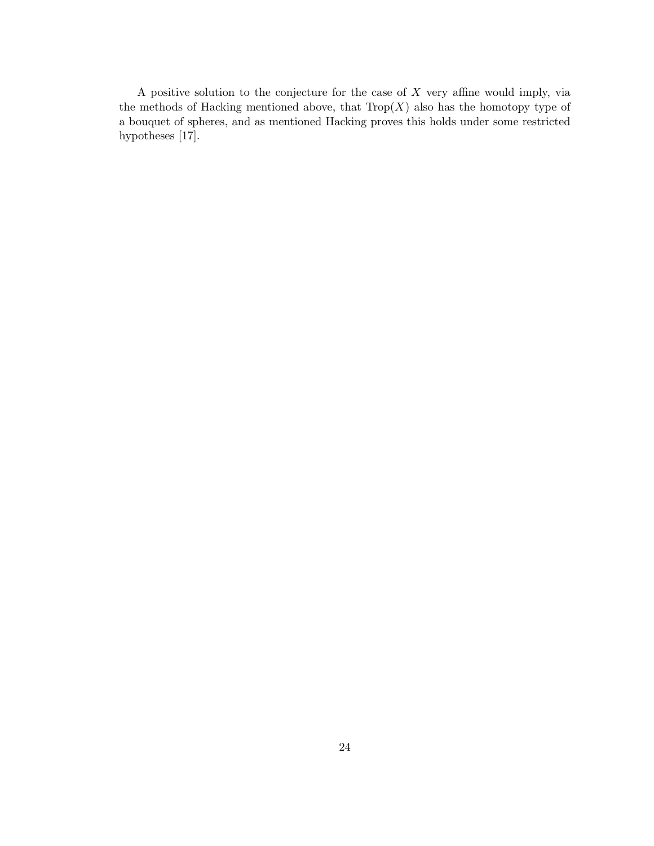A positive solution to the conjecture for the case of  $X$  very affine would imply, via the methods of Hacking mentioned above, that  $Trop(X)$  also has the homotopy type of a bouquet of spheres, and as mentioned Hacking proves this holds under some restricted hypotheses [17].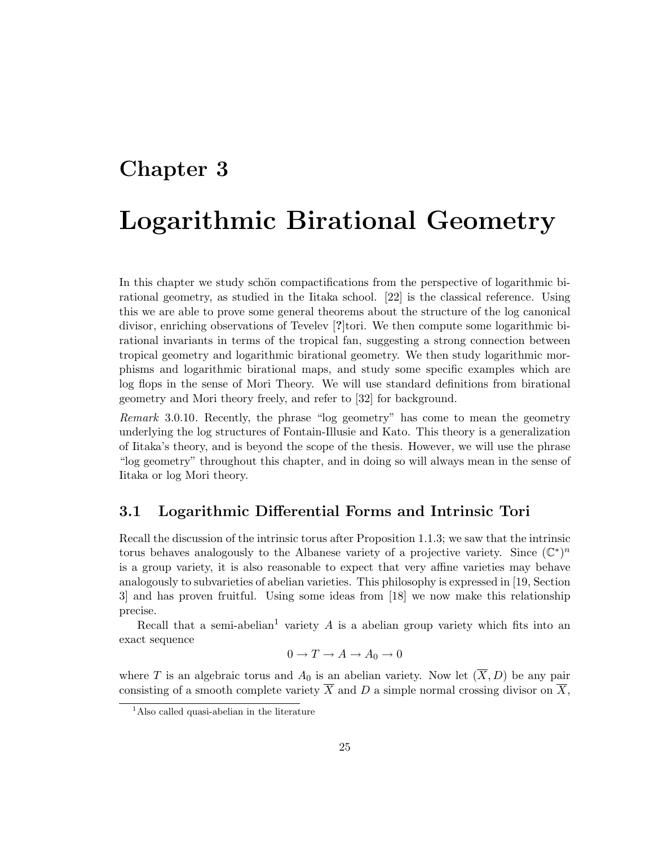# Chapter 3

# Logarithmic Birational Geometry

In this chapter we study schön compactifications from the perspective of logarithmic birational geometry, as studied in the Iitaka school. [22] is the classical reference. Using this we are able to prove some general theorems about the structure of the log canonical divisor, enriching observations of Tevelev [?]tori. We then compute some logarithmic birational invariants in terms of the tropical fan, suggesting a strong connection between tropical geometry and logarithmic birational geometry. We then study logarithmic morphisms and logarithmic birational maps, and study some specific examples which are log flops in the sense of Mori Theory. We will use standard definitions from birational geometry and Mori theory freely, and refer to [32] for background.

Remark 3.0.10. Recently, the phrase "log geometry" has come to mean the geometry underlying the log structures of Fontain-Illusie and Kato. This theory is a generalization of Iitaka's theory, and is beyond the scope of the thesis. However, we will use the phrase "log geometry" throughout this chapter, and in doing so will always mean in the sense of Iitaka or log Mori theory.

# 3.1 Logarithmic Differential Forms and Intrinsic Tori

Recall the discussion of the intrinsic torus after Proposition 1.1.3; we saw that the intrinsic torus behaves analogously to the Albanese variety of a projective variety. Since  $(\mathbb{C}^*)^n$ is a group variety, it is also reasonable to expect that very affine varieties may behave analogously to subvarieties of abelian varieties. This philosophy is expressed in [19, Section 3] and has proven fruitful. Using some ideas from [18] we now make this relationship precise.

Recall that a semi-abelian<sup>1</sup> variety A is a abelian group variety which fits into an exact sequence

$$
0 \to T \to A \to A_0 \to 0
$$

where T is an algebraic torus and  $A_0$  is an abelian variety. Now let  $(\overline{X}, D)$  be any pair consisting of a smooth complete variety  $\overline{X}$  and D a simple normal crossing divisor on  $\overline{X}$ ,

<sup>&</sup>lt;sup>1</sup>Also called quasi-abelian in the literature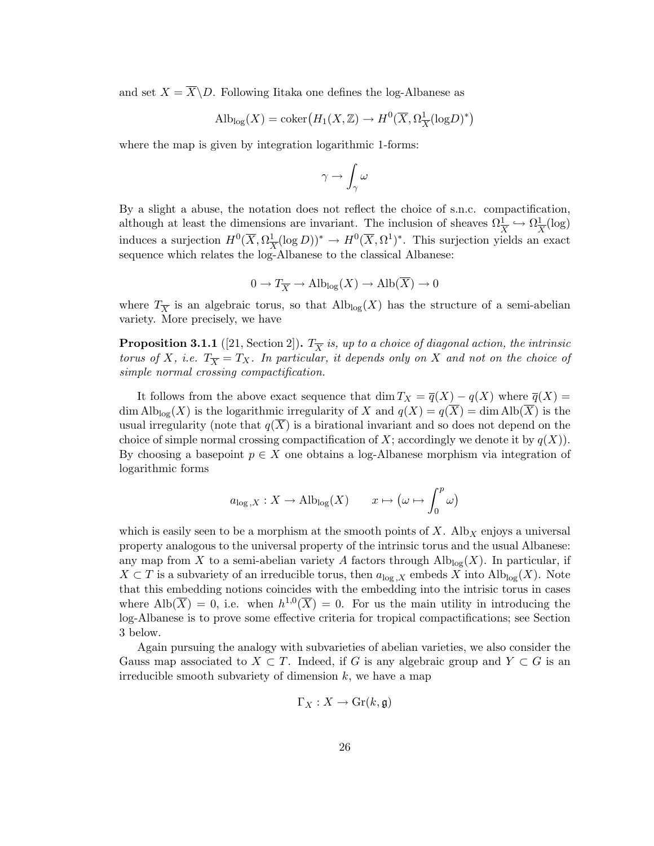and set  $X = \overline{X} \backslash D$ . Following Iitaka one defines the log-Albanese as

$$
\mathrm{Alb}_{\mathrm{log}}(X) = \mathrm{coker}\left(H_1(X,\mathbb{Z}) \to H^0(\overline{X}, \Omega^1_{\overline{X}}(\mathrm{log} D)^*)\right)
$$

where the map is given by integration logarithmic 1-forms:

$$
\gamma \to \int_\gamma \omega
$$

By a slight a abuse, the notation does not reflect the choice of s.n.c. compactification, although at least the dimensions are invariant. The inclusion of sheaves  $\Omega_{\overline{X}}^1 \hookrightarrow \Omega_{\overline{X}}^1$  $\frac{1}{X}(\log)$ induces a surjection  $H^0(\overline{X}, \Omega)$  $\frac{1}{X} (\log D))^* \to H^0(\overline{X}, \Omega^1)^*$ . This surjection yields an exact sequence which relates the log-Albanese to the classical Albanese:

$$
0 \to T_{\overline{X}} \to \text{Alb}_{\text{log}}(X) \to \text{Alb}(X) \to 0
$$

where  $T_{\overline{X}}$  is an algebraic torus, so that  $\mathrm{Alb}_{\log}(X)$  has the structure of a semi-abelian variety. More precisely, we have

**Proposition 3.1.1** ([21, Section 2]).  $T_{\overline{X}}$  is, up to a choice of diagonal action, the intrinsic torus of X, i.e.  $T_{\overline{X}} = T_X$ . In particular, it depends only on X and not on the choice of simple normal crossing compactification.

It follows from the above exact sequence that dim  $T_X = \overline{q}(X) - q(X)$  where  $\overline{q}(X) =$ dim Alb<sub>log</sub>(X) is the logarithmic irregularity of X and  $q(X) = q(\overline{X}) = \dim \text{Alb}(\overline{X})$  is the usual irregularity (note that  $q(X)$  is a birational invariant and so does not depend on the choice of simple normal crossing compactification of X; accordingly we denote it by  $q(X)$ ). By choosing a basepoint  $p \in X$  one obtains a log-Albanese morphism via integration of logarithmic forms

$$
a_{\log,X}: X \to \text{Alb}_{\log}(X)
$$
  $x \mapsto (\omega \mapsto \int_0^p \omega)$ 

which is easily seen to be a morphism at the smooth points of  $X$ . Alb<sub>X</sub> enjoys a universal property analogous to the universal property of the intrinsic torus and the usual Albanese: any map from X to a semi-abelian variety A factors through  $\text{Alb}_{\text{log}}(X)$ . In particular, if  $X \subset T$  is a subvariety of an irreducible torus, then  $a_{\log X}$  embeds X into  $\text{Alb}_{\log}(X)$ . Note that this embedding notions coincides with the embedding into the intrisic torus in cases where  $\text{Alb}(\overline{X}) = 0$ , i.e. when  $h^{1,0}(\overline{X}) = 0$ . For us the main utility in introducing the log-Albanese is to prove some effective criteria for tropical compactifications; see Section 3 below.

Again pursuing the analogy with subvarieties of abelian varieties, we also consider the Gauss map associated to  $X \subset T$ . Indeed, if G is any algebraic group and  $Y \subset G$  is an irreducible smooth subvariety of dimension  $k$ , we have a map

$$
\Gamma_X:X\to\operatorname{Gr}(k,\mathfrak{g})
$$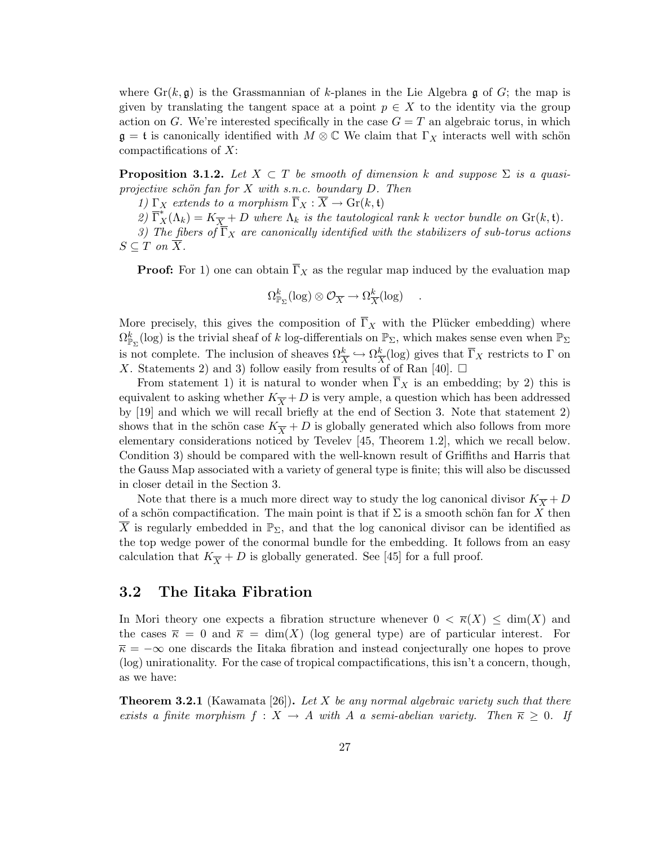where  $\text{Gr}(k, \mathfrak{g})$  is the Grassmannian of k-planes in the Lie Algebra g of G; the map is given by translating the tangent space at a point  $p \in X$  to the identity via the group action on G. We're interested specifically in the case  $G = T$  an algebraic torus, in which  $\mathfrak{g} = \mathfrak{t}$  is canonically identified with  $M \otimes \mathbb{C}$  We claim that  $\Gamma_X$  interacts well with schön compactifications of  $X$ :

**Proposition 3.1.2.** Let  $X \subset T$  be smooth of dimension k and suppose  $\Sigma$  is a quasiprojective schön fan for  $X$  with s.n.c. boundary  $D$ . Then

1)  $\Gamma_X$  extends to a morphism  $\overline{\Gamma}_X : \overline{X} \to \text{Gr}(k, \mathfrak{t})$ 

2)  $\overline{\Gamma_X^*}(\Lambda_k) = K_{\overline{X}} + D$  where  $\Lambda_k$  is the tautological rank k vector bundle on  $\text{Gr}(k, \mathfrak{t})$ .

3) The fibers of  $\overline{\Gamma}_X$  are canonically identified with the stabilizers of sub-torus actions  $S \subseteq T$  on  $\overline{X}$ .

**Proof:** For 1) one can obtain  $\overline{\Gamma}_X$  as the regular map induced by the evaluation map

$$
\Omega^k_{\mathbb{P}_{\Sigma}}(\log) \otimes \mathcal{O}_{\overline{X}} \to \Omega^k_{\overline{X}}(\log) \quad .
$$

More precisely, this gives the composition of  $\overline{\Gamma}_X$  with the Plücker embedding) where  $\Omega^k_{\mathbb{P}_{\Sigma}}(\log)$  is the trivial sheaf of k log-differentials on  $\mathbb{P}_{\Sigma}$ , which makes sense even when  $\mathbb{P}_{\Sigma}$ is not complete. The inclusion of sheaves  $\Omega_{\overline{X}}^k \hookrightarrow \Omega_{\overline{X}}^k$  $\frac{k}{X}$ (log) gives that  $\Gamma_X$  restricts to  $\Gamma$  on X. Statements 2) and 3) follow easily from results of of Ran [40].  $\Box$ 

From statement 1) it is natural to wonder when  $\Gamma_X$  is an embedding; by 2) this is equivalent to asking whether  $K_{\overline{X}}+D$  is very ample, a question which has been addressed by [19] and which we will recall briefly at the end of Section 3. Note that statement 2) shows that in the schön case  $K_{\overline{X}} + D$  is globally generated which also follows from more elementary considerations noticed by Tevelev [45, Theorem 1.2], which we recall below. Condition 3) should be compared with the well-known result of Griffiths and Harris that the Gauss Map associated with a variety of general type is finite; this will also be discussed in closer detail in the Section 3.

Note that there is a much more direct way to study the log canonical divisor  $K_{\overline{X}} + D$ of a schön compactification. The main point is that if  $\Sigma$  is a smooth schön fan for X then X is regularly embedded in  $\mathbb{P}_{\Sigma}$ , and that the log canonical divisor can be identified as the top wedge power of the conormal bundle for the embedding. It follows from an easy calculation that  $K_{\overline{X}} + D$  is globally generated. See [45] for a full proof.

### 3.2 The Iitaka Fibration

In Mori theory one expects a fibration structure whenever  $0 < \overline{\kappa}(X) \le \dim(X)$  and the cases  $\bar{\kappa} = 0$  and  $\bar{\kappa} = \dim(X)$  (log general type) are of particular interest. For  $\overline{\kappa} = -\infty$  one discards the Iitaka fibration and instead conjecturally one hopes to prove (log) unirationality. For the case of tropical compactifications, this isn't a concern, though, as we have:

**Theorem 3.2.1** (Kawamata [26]). Let X be any normal algebraic variety such that there exists a finite morphism  $f : X \to A$  with A a semi-abelian variety. Then  $\overline{\kappa} \geq 0$ . If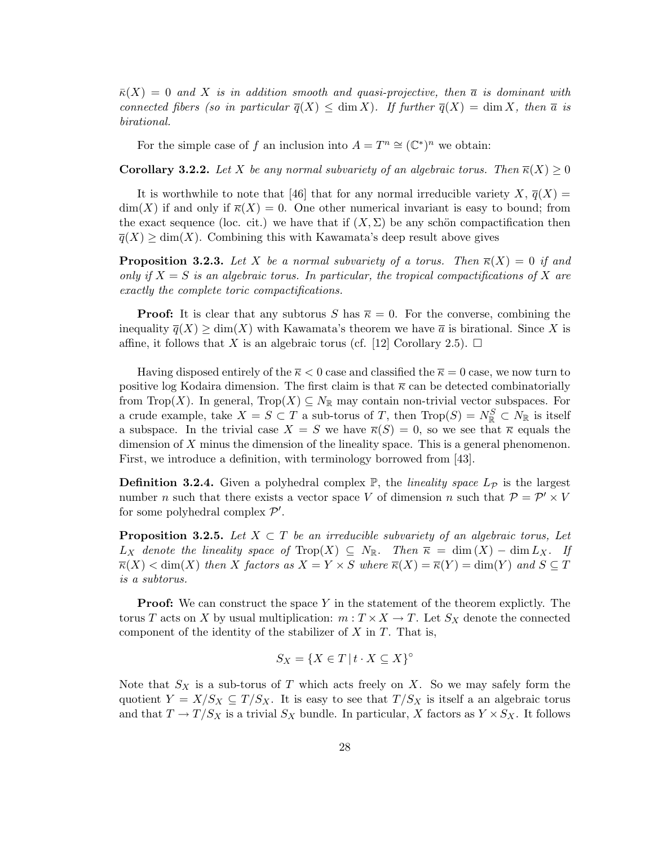$\overline{\kappa}(X) = 0$  and X is in addition smooth and quasi-projective, then  $\overline{a}$  is dominant with connected fibers (so in particular  $\overline{q}(X) \leq \dim X$ ). If further  $\overline{q}(X) = \dim X$ , then  $\overline{a}$  is birational.

For the simple case of f an inclusion into  $A = T^n \cong (\mathbb{C}^*)^n$  we obtain:

**Corollary 3.2.2.** Let X be any normal subvariety of an algebraic torus. Then  $\overline{\kappa}(X) \geq 0$ 

It is worthwhile to note that [46] that for any normal irreducible variety  $X, \overline{q}(X) =$  $\dim(X)$  if and only if  $\overline{\kappa}(X) = 0$ . One other numerical invariant is easy to bound; from the exact sequence (loc. cit.) we have that if  $(X, \Sigma)$  be any schön compactification then  $\overline{q}(X) \ge \dim(X)$ . Combining this with Kawamata's deep result above gives

**Proposition 3.2.3.** Let X be a normal subvariety of a torus. Then  $\overline{\kappa}(X) = 0$  if and only if  $X = S$  is an algebraic torus. In particular, the tropical compactifications of X are exactly the complete toric compactifications.

**Proof:** It is clear that any subtorus S has  $\overline{\kappa} = 0$ . For the converse, combining the inequality  $\overline{q}(X) \ge \dim(X)$  with Kawamata's theorem we have  $\overline{a}$  is birational. Since X is affine, it follows that X is an algebraic torus (cf. [12] Corollary 2.5).  $\Box$ 

Having disposed entirely of the  $\overline{\kappa}$  < 0 case and classified the  $\overline{\kappa}$  = 0 case, we now turn to positive log Kodaira dimension. The first claim is that  $\bar{\kappa}$  can be detected combinatorially from Trop(X). In general, Trop(X)  $\subseteq N_{\mathbb{R}}$  may contain non-trivial vector subspaces. For a crude example, take  $X = S \subset T$  a sub-torus of T, then  $\text{Trop}(S) = N_{\mathbb{R}}^S \subset N_{\mathbb{R}}$  is itself a subspace. In the trivial case  $X = S$  we have  $\overline{\kappa}(S) = 0$ , so we see that  $\overline{\kappa}$  equals the dimension of X minus the dimension of the lineality space. This is a general phenomenon. First, we introduce a definition, with terminology borrowed from [43].

**Definition 3.2.4.** Given a polyhedral complex  $\mathbb{P}$ , the *lineality space*  $L_{\mathcal{P}}$  is the largest number *n* such that there exists a vector space V of dimension *n* such that  $P = P' \times V$ for some polyhedral complex  $\mathcal{P}'$ .

**Proposition 3.2.5.** Let  $X \subset T$  be an irreducible subvariety of an algebraic torus, Let  $L_X$  denote the lineality space of Trop(X)  $\subseteq N_{\mathbb{R}}$ . Then  $\overline{\kappa} = \dim(X) - \dim L_X$ . If  $\overline{\kappa}(X) < \dim(X)$  then X factors as  $X = Y \times S$  where  $\overline{\kappa}(X) = \overline{\kappa}(Y) = \dim(Y)$  and  $S \subseteq T$ is a subtorus.

**Proof:** We can construct the space Y in the statement of the theorem explictly. The torus T acts on X by usual multiplication:  $m: T \times X \to T$ . Let  $S_X$  denote the connected component of the identity of the stabilizer of  $X$  in  $T$ . That is,

$$
S_X = \{ X \in T \mid t \cdot X \subseteq X \}^{\circ}
$$

Note that  $S_X$  is a sub-torus of T which acts freely on X. So we may safely form the quotient  $Y = X/S_X \subseteq T/S_X$ . It is easy to see that  $T/S_X$  is itself a an algebraic torus and that  $T \to T/S_X$  is a trivial  $S_X$  bundle. In particular, X factors as  $Y \times S_X$ . It follows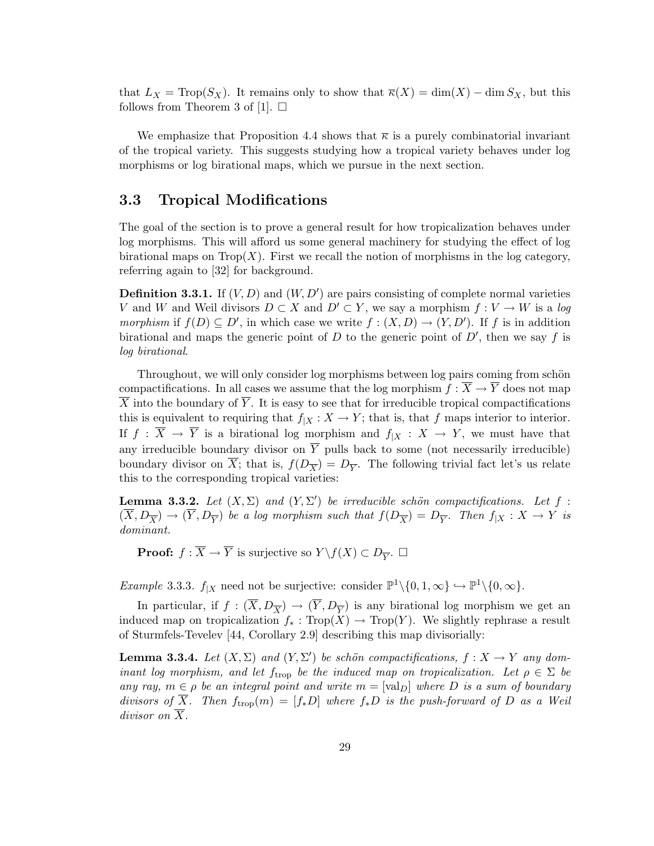that  $L_X = \text{Top}(S_X)$ . It remains only to show that  $\overline{\kappa}(X) = \dim(X) - \dim S_X$ , but this follows from Theorem 3 of [1].  $\square$ 

We emphasize that Proposition 4.4 shows that  $\overline{\kappa}$  is a purely combinatorial invariant of the tropical variety. This suggests studying how a tropical variety behaves under log morphisms or log birational maps, which we pursue in the next section.

# 3.3 Tropical Modifications

The goal of the section is to prove a general result for how tropicalization behaves under log morphisms. This will afford us some general machinery for studying the effect of log birational maps on  $Trop(X)$ . First we recall the notion of morphisms in the log category, referring again to [32] for background.

**Definition 3.3.1.** If  $(V, D)$  and  $(W, D')$  are pairs consisting of complete normal varieties V and W and Weil divisors  $D \subset X$  and  $D' \subset Y$ , we say a morphism  $f: V \to W$  is a log morphism if  $f(D) \subseteq D'$ , in which case we write  $f : (X, D) \to (Y, D')$ . If f is in addition birational and maps the generic point of  $D$  to the generic point of  $D'$ , then we say f is log birational.

Throughout, we will only consider log morphisms between log pairs coming from schön compactifications. In all cases we assume that the log morphism  $f : \overline{X} \to \overline{Y}$  does not map  $\overline{X}$  into the boundary of  $\overline{Y}$ . It is easy to see that for irreducible tropical compactifications this is equivalent to requiring that  $f_{|X} : X \to Y$ ; that is, that f maps interior to interior. If  $f : \overline{X} \to \overline{Y}$  is a birational log morphism and  $f_{|X} : X \to Y$ , we must have that any irreducible boundary divisor on  $\overline{Y}$  pulls back to some (not necessarily irreducible) boundary divisor on X; that is,  $f(D_{\overline{X}}) = D_{\overline{Y}}$ . The following trivial fact let's us relate this to the corresponding tropical varieties:

**Lemma 3.3.2.** Let  $(X, \Sigma)$  and  $(Y, \Sigma')$  be irreducible schön compactifications. Let f:  $(X,D_{\overline{X}}) \to (Y,D_{\overline{Y}})$  be a log morphism such that  $f(D_{\overline{X}}) = D_{\overline{Y}}$ . Then  $f_{|X}: X \to Y$  is dominant.

**Proof:**  $f : \overline{X} \to \overline{Y}$  is surjective so  $Y \backslash f(X) \subset D_{\overline{Y}}$ .  $\Box$ 

Example 3.3.3.  $f_{|X}$  need not be surjective: consider  $\mathbb{P}^1 \setminus \{0, 1, \infty\} \hookrightarrow \mathbb{P}^1 \setminus \{0, \infty\}.$ 

In particular, if  $f : (\overline{X}, D_{\overline{X}}) \to (\overline{Y}, D_{\overline{Y}})$  is any birational log morphism we get an induced map on tropicalization  $f_* : Trop(X) \to Trop(Y)$ . We slightly rephrase a result of Sturmfels-Tevelev [44, Corollary 2.9] describing this map divisorially:

**Lemma 3.3.4.** Let  $(X, \Sigma)$  and  $(Y, \Sigma')$  be schön compactifications,  $f : X \to Y$  any dominant log morphism, and let  $f_{\text{trop}}$  be the induced map on tropicalization. Let  $\rho \in \Sigma$  be any ray,  $m \in \rho$  be an integral point and write  $m = [\text{val}_D]$  where D is a sum of boundary divisors of  $\overline{X}$ . Then  $f_{\text{trop}}(m) = [f_*D]$  where  $f_*D$  is the push-forward of D as a Weil divisor on X.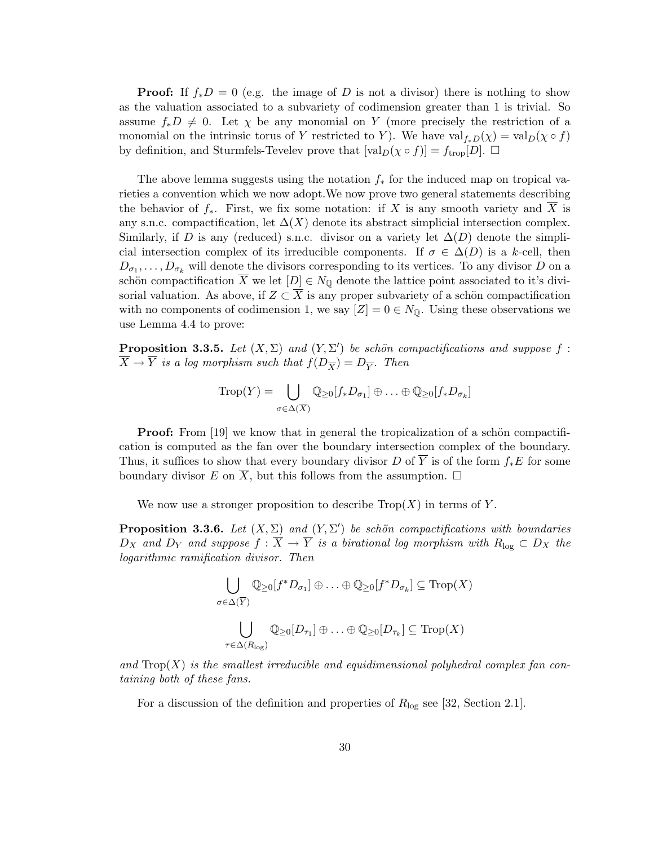**Proof:** If  $f_*D = 0$  (e.g. the image of D is not a divisor) there is nothing to show as the valuation associated to a subvariety of codimension greater than 1 is trivial. So assume  $f_*D \neq 0$ . Let  $\chi$  be any monomial on Y (more precisely the restriction of a monomial on the intrinsic torus of Y restricted to Y). We have  $val_{f,D}(\chi) = val_D(\chi \circ f)$ by definition, and Sturmfels-Tevelev prove that  $[\text{val}_D(\chi \circ f)] = f_{\text{trop}}[D]$ .  $\Box$ 

The above lemma suggests using the notation  $f_*$  for the induced map on tropical varieties a convention which we now adopt.We now prove two general statements describing the behavior of  $f_*$ . First, we fix some notation: if X is any smooth variety and X is any s.n.c. compactification, let  $\Delta(X)$  denote its abstract simplicial intersection complex. Similarly, if D is any (reduced) s.n.c. divisor on a variety let  $\Delta(D)$  denote the simplicial intersection complex of its irreducible components. If  $\sigma \in \Delta(D)$  is a k-cell, then  $D_{\sigma_1}, \ldots, D_{\sigma_k}$  will denote the divisors corresponding to its vertices. To any divisor D on a schön compactification  $\overline{X}$  we let  $[D] \in N_{\mathbb{Q}}$  denote the lattice point associated to it's divisorial valuation. As above, if  $Z \subset \overline{X}$  is any proper subvariety of a schön compactification with no components of codimension 1, we say  $[Z] = 0 \in N_{\mathbb{Q}}$ . Using these observations we use Lemma 4.4 to prove:

**Proposition 3.3.5.** Let  $(X, \Sigma)$  and  $(Y, \Sigma')$  be schön compactifications and suppose f:  $\overline{X} \rightarrow \overline{Y}$  is a log morphism such that  $f(D_{\overline{X}}) = D_{\overline{Y}}$ . Then

$$
\operatorname{Trop}(Y) = \bigcup_{\sigma \in \Delta(\overline{X})} \mathbb{Q}_{\geq 0}[f_*D_{\sigma_1}] \oplus \ldots \oplus \mathbb{Q}_{\geq 0}[f_*D_{\sigma_k}]
$$

**Proof:** From  $[19]$  we know that in general the tropicalization of a schön compactification is computed as the fan over the boundary intersection complex of the boundary. Thus, it suffices to show that every boundary divisor D of  $\overline{Y}$  is of the form  $f_*E$  for some boundary divisor E on  $\overline{X}$ , but this follows from the assumption.  $\Box$ 

We now use a stronger proposition to describe  $\text{Trop}(X)$  in terms of Y.

**Proposition 3.3.6.** Let  $(X, \Sigma)$  and  $(Y, \Sigma')$  be schön compactifications with boundaries  $D_X$  and  $D_Y$  and suppose  $f: \overline{X} \to \overline{Y}$  is a birational log morphism with  $R_{\log} \subset D_X$  the logarithmic ramification divisor. Then

$$
\bigcup_{\sigma \in \Delta(\overline{Y})} \mathbb{Q}_{\geq 0}[f^*D_{\sigma_1}] \oplus \ldots \oplus \mathbb{Q}_{\geq 0}[f^*D_{\sigma_k}] \subseteq \text{Trop}(X)
$$

$$
\bigcup_{\tau \in \Delta(R_{\log})} \mathbb{Q}_{\geq 0}[D_{\tau_1}] \oplus \ldots \oplus \mathbb{Q}_{\geq 0}[D_{\tau_k}] \subseteq \text{Trop}(X)
$$

and  $\text{Trop}(X)$  is the smallest irreducible and equidimensional polyhedral complex fan containing both of these fans.

For a discussion of the definition and properties of  $R_{\text{log}}$  see [32, Section 2.1].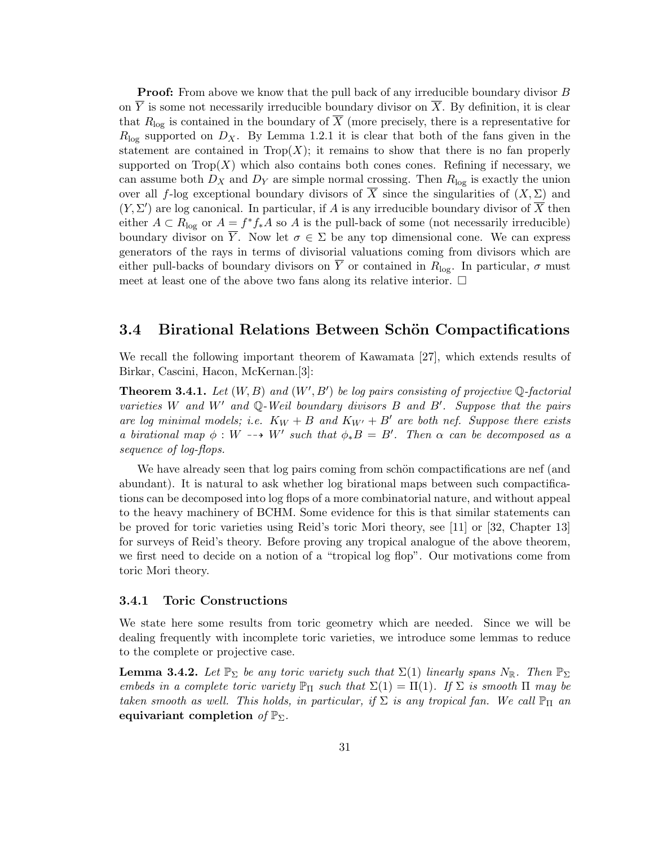**Proof:** From above we know that the pull back of any irreducible boundary divisor B on  $\overline{Y}$  is some not necessarily irreducible boundary divisor on  $\overline{X}$ . By definition, it is clear that  $R_{\text{log}}$  is contained in the boundary of  $\overline{X}$  (more precisely, there is a representative for  $R_{\text{log}}$  supported on  $D_X$ . By Lemma 1.2.1 it is clear that both of the fans given in the statement are contained in  $Trop(X)$ ; it remains to show that there is no fan properly supported on  $\text{Top}(X)$  which also contains both cones cones. Refining if necessary, we can assume both  $D_X$  and  $D_Y$  are simple normal crossing. Then  $R_{\text{log}}$  is exactly the union over all f-log exceptional boundary divisors of  $\overline{X}$  since the singularities of  $(X, \Sigma)$  and  $(Y, \Sigma')$  are log canonical. In particular, if A is any irreducible boundary divisor of  $\overline{X}$  then either  $A \subset R_{\text{log}}$  or  $A = f^* f_* A$  so A is the pull-back of some (not necessarily irreducible) boundary divisor on  $\overline{Y}$ . Now let  $\sigma \in \Sigma$  be any top dimensional cone. We can express generators of the rays in terms of divisorial valuations coming from divisors which are either pull-backs of boundary divisors on  $\overline{Y}$  or contained in  $R_{\text{log}}$ . In particular,  $\sigma$  must meet at least one of the above two fans along its relative interior.  $\Box$ 

### 3.4 Birational Relations Between Schön Compactifications

We recall the following important theorem of Kawamata [27], which extends results of Birkar, Cascini, Hacon, McKernan.[3]:

**Theorem 3.4.1.** Let  $(W, B)$  and  $(W', B')$  be log pairs consisting of projective  $\mathbb{Q}$ -factorial varieties W and W' and  $\mathbb{Q}$ -Weil boundary divisors B and B'. Suppose that the pairs are log minimal models; i.e.  $K_W + B$  and  $K_{W'} + B'$  are both nef. Suppose there exists a birational map  $\phi: W \dashrightarrow W'$  such that  $\phi_*B = B'$ . Then  $\alpha$  can be decomposed as a sequence of log-flops.

We have already seen that log pairs coming from schön compactifications are nef (and abundant). It is natural to ask whether log birational maps between such compactifications can be decomposed into log flops of a more combinatorial nature, and without appeal to the heavy machinery of BCHM. Some evidence for this is that similar statements can be proved for toric varieties using Reid's toric Mori theory, see [11] or [32, Chapter 13] for surveys of Reid's theory. Before proving any tropical analogue of the above theorem, we first need to decide on a notion of a "tropical log flop". Our motivations come from toric Mori theory.

#### 3.4.1 Toric Constructions

We state here some results from toric geometry which are needed. Since we will be dealing frequently with incomplete toric varieties, we introduce some lemmas to reduce to the complete or projective case.

**Lemma 3.4.2.** Let  $\mathbb{P}_{\Sigma}$  be any toric variety such that  $\Sigma(1)$  linearly spans  $N_{\mathbb{R}}$ . Then  $\mathbb{P}_{\Sigma}$ embeds in a complete toric variety  $\mathbb{P}_{\Pi}$  such that  $\Sigma(1) = \Pi(1)$ . If  $\Sigma$  is smooth  $\Pi$  may be taken smooth as well. This holds, in particular, if  $\Sigma$  is any tropical fan. We call  $\mathbb{P}_{\Pi}$  an equivariant completion of  $\mathbb{P}_{\Sigma}$ .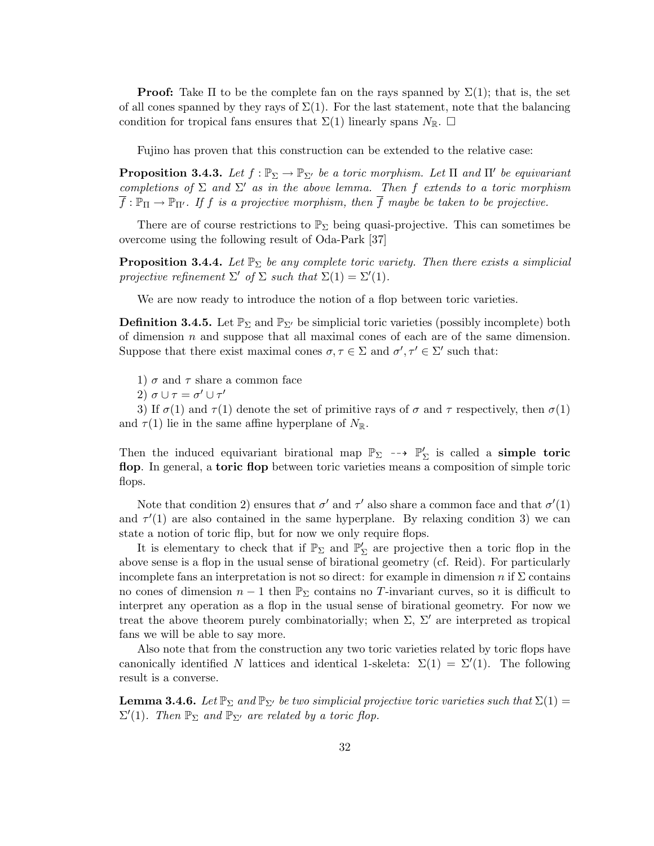**Proof:** Take  $\Pi$  to be the complete fan on the rays spanned by  $\Sigma(1)$ ; that is, the set of all cones spanned by they rays of  $\Sigma(1)$ . For the last statement, note that the balancing condition for tropical fans ensures that  $\Sigma(1)$  linearly spans  $N_{\mathbb{R}}$ .  $\square$ 

Fujino has proven that this construction can be extended to the relative case:

**Proposition 3.4.3.** Let  $f : \mathbb{P}_{\Sigma} \to \mathbb{P}_{\Sigma'}$  be a toric morphism. Let  $\Pi$  and  $\Pi'$  be equivariant completions of  $\Sigma$  and  $\Sigma'$  as in the above lemma. Then f extends to a toric morphism  $\overline{f} : \mathbb{P}_{\Pi} \to \mathbb{P}_{\Pi'}$ . If f is a projective morphism, then  $\overline{f}$  maybe be taken to be projective.

There are of course restrictions to  $\mathbb{P}_{\Sigma}$  being quasi-projective. This can sometimes be overcome using the following result of Oda-Park [37]

**Proposition 3.4.4.** Let  $\mathbb{P}_{\Sigma}$  be any complete toric variety. Then there exists a simplicial projective refinement  $\Sigma'$  of  $\Sigma$  such that  $\Sigma(1) = \Sigma'(1)$ .

We are now ready to introduce the notion of a flop between toric varieties.

**Definition 3.4.5.** Let  $\mathbb{P}_{\Sigma}$  and  $\mathbb{P}_{\Sigma'}$  be simplicial toric varieties (possibly incomplete) both of dimension  $n$  and suppose that all maximal cones of each are of the same dimension. Suppose that there exist maximal cones  $\sigma, \tau \in \Sigma$  and  $\sigma', \tau' \in \Sigma'$  such that:

- 1)  $\sigma$  and  $\tau$  share a common face
- 2)  $\sigma \cup \tau = \sigma' \cup \tau'$

3) If  $\sigma(1)$  and  $\tau(1)$  denote the set of primitive rays of  $\sigma$  and  $\tau$  respectively, then  $\sigma(1)$ and  $\tau(1)$  lie in the same affine hyperplane of  $N_{\mathbb{R}}$ .

Then the induced equivariant birational map  $\mathbb{P}_{\Sigma} \dashrightarrow \mathbb{P}'_{\Sigma}$  is called a **simple toric** flop. In general, a toric flop between toric varieties means a composition of simple toric flops.

Note that condition 2) ensures that  $\sigma'$  and  $\tau'$  also share a common face and that  $\sigma'(1)$ and  $\tau'(1)$  are also contained in the same hyperplane. By relaxing condition 3) we can state a notion of toric flip, but for now we only require flops.

It is elementary to check that if  $\mathbb{P}_{\Sigma}$  and  $\mathbb{P}'_{\Sigma}$  are projective then a toric flop in the above sense is a flop in the usual sense of birational geometry (cf. Reid). For particularly incomplete fans an interpretation is not so direct: for example in dimension n if  $\Sigma$  contains no cones of dimension  $n-1$  then  $\mathbb{P}_{\Sigma}$  contains no T-invariant curves, so it is difficult to interpret any operation as a flop in the usual sense of birational geometry. For now we treat the above theorem purely combinatorially; when  $\Sigma$ ,  $\Sigma'$  are interpreted as tropical fans we will be able to say more.

Also note that from the construction any two toric varieties related by toric flops have canonically identified N lattices and identical 1-skeleta:  $\Sigma(1) = \Sigma'(1)$ . The following result is a converse.

**Lemma 3.4.6.** Let  $\mathbb{P}_{\Sigma}$  and  $\mathbb{P}_{\Sigma}$  be two simplicial projective toric varieties such that  $\Sigma(1)$  =  $\Sigma'(1)$ . Then  $\mathbb{P}_{\Sigma}$  and  $\mathbb{P}_{\Sigma'}$  are related by a toric flop.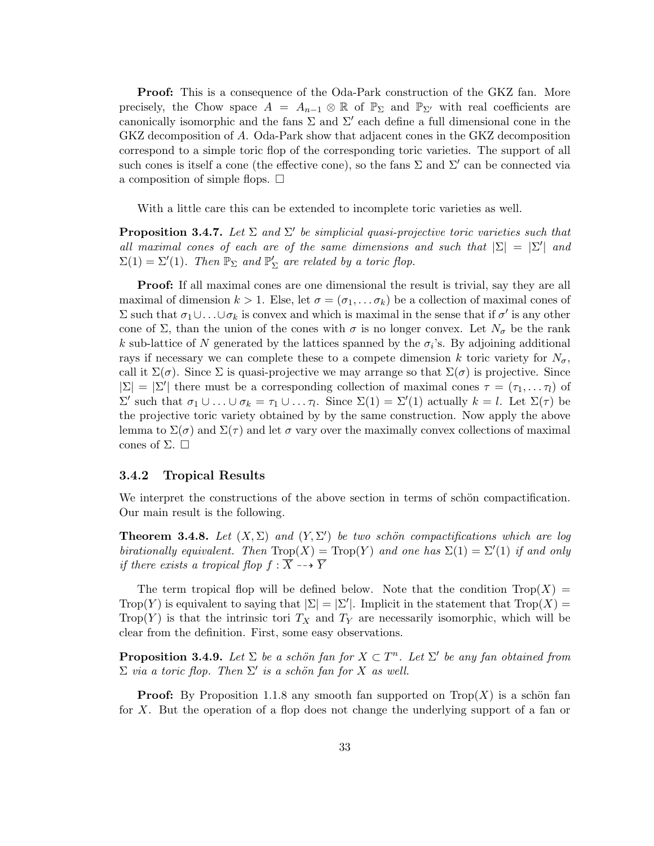Proof: This is a consequence of the Oda-Park construction of the GKZ fan. More precisely, the Chow space  $A = A_{n-1} \otimes \mathbb{R}$  of  $\mathbb{P}_{\Sigma}$  and  $\mathbb{P}_{\Sigma'}$  with real coefficients are canonically isomorphic and the fans  $\Sigma$  and  $\Sigma'$  each define a full dimensional cone in the GKZ decomposition of A. Oda-Park show that adjacent cones in the GKZ decomposition correspond to a simple toric flop of the corresponding toric varieties. The support of all such cones is itself a cone (the effective cone), so the fans  $\Sigma$  and  $\Sigma'$  can be connected via a composition of simple flops.  $\Box$ 

With a little care this can be extended to incomplete toric varieties as well.

**Proposition 3.4.7.** Let  $\Sigma$  and  $\Sigma'$  be simplicial quasi-projective toric varieties such that all maximal cones of each are of the same dimensions and such that  $|\Sigma| = |\Sigma'|$  and  $\Sigma(1) = \Sigma'(1)$ . Then  $\mathbb{P}_{\Sigma}$  and  $\mathbb{P}'_{\Sigma}$  are related by a toric flop.

Proof: If all maximal cones are one dimensional the result is trivial, say they are all maximal of dimension  $k > 1$ . Else, let  $\sigma = (\sigma_1, \ldots, \sigma_k)$  be a collection of maximal cones of  $\Sigma$  such that  $\sigma_1 \cup \ldots \cup \sigma_k$  is convex and which is maximal in the sense that if  $\sigma'$  is any other cone of  $\Sigma$ , than the union of the cones with  $\sigma$  is no longer convex. Let  $N_{\sigma}$  be the rank k sub-lattice of N generated by the lattices spanned by the  $\sigma_i$ 's. By adjoining additional rays if necessary we can complete these to a compete dimension k toric variety for  $N_{\sigma}$ , call it  $\Sigma(\sigma)$ . Since  $\Sigma$  is quasi-projective we may arrange so that  $\Sigma(\sigma)$  is projective. Since  $|\Sigma| = |\Sigma'|$  there must be a corresponding collection of maximal cones  $\tau = (\tau_1, \dots \tau_l)$  of  $\Sigma'$  such that  $\sigma_1 \cup ... \cup \sigma_k = \tau_1 \cup ... \tau_l$ . Since  $\Sigma(1) = \Sigma'(1)$  actually  $k = l$ . Let  $\Sigma(\tau)$  be the projective toric variety obtained by by the same construction. Now apply the above lemma to  $\Sigma(\sigma)$  and  $\Sigma(\tau)$  and let  $\sigma$  vary over the maximally convex collections of maximal cones of  $\Sigma$ .  $\square$ 

#### 3.4.2 Tropical Results

We interpret the constructions of the above section in terms of schön compactification. Our main result is the following.

**Theorem 3.4.8.** Let  $(X, \Sigma)$  and  $(Y, \Sigma')$  be two schön compactifications which are log birationally equivalent. Then  $\text{Top}(X) = \text{Top}(Y)$  and one has  $\Sigma(1) = \Sigma'(1)$  if and only if there exists a tropical flop  $f : \overline{X} \dashrightarrow \overline{Y}$ 

The term tropical flop will be defined below. Note that the condition  $\text{Top}(X)$  = Trop(Y) is equivalent to saying that  $|\Sigma| = |\Sigma'|$ . Implicit in the statement that  $\text{Trop}(X) =$ Trop(Y) is that the intrinsic tori  $T_X$  and  $T_Y$  are necessarily isomorphic, which will be clear from the definition. First, some easy observations.

**Proposition 3.4.9.** Let  $\Sigma$  be a schön fan for  $X \subset T^n$ . Let  $\Sigma'$  be any fan obtained from  $\Sigma$  via a toric flop. Then  $\Sigma'$  is a schön fan for X as well.

**Proof:** By Proposition 1.1.8 any smooth fan supported on  $\text{Top}(X)$  is a schön fan for X. But the operation of a flop does not change the underlying support of a fan or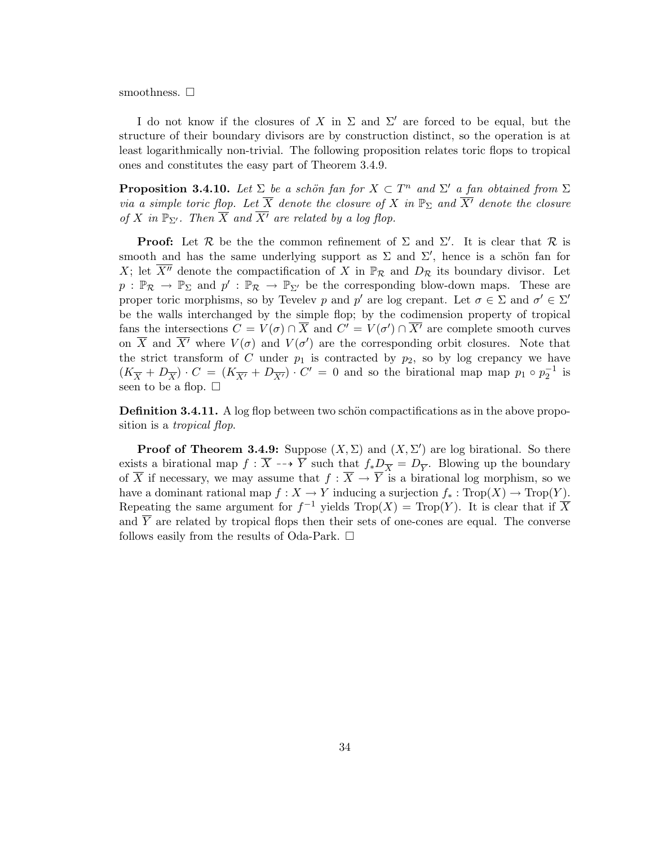smoothness.  $\square$ 

I do not know if the closures of X in  $\Sigma$  and  $\Sigma'$  are forced to be equal, but the structure of their boundary divisors are by construction distinct, so the operation is at least logarithmically non-trivial. The following proposition relates toric flops to tropical ones and constitutes the easy part of Theorem 3.4.9.

**Proposition 3.4.10.** Let  $\Sigma$  be a schön fan for  $X \subset T^n$  and  $\Sigma'$  a fan obtained from  $\Sigma$ via a simple toric flop. Let  $\overline{X}$  denote the closure of X in  $\mathbb{P}_{\Sigma}$  and  $\overline{X'}$  denote the closure of X in  $\mathbb{P}_{\Sigma'}$ . Then  $\overline{X}$  and  $\overline{X'}$  are related by a log flop.

**Proof:** Let R be the the common refinement of  $\Sigma$  and  $\Sigma'$ . It is clear that R is smooth and has the same underlying support as  $\Sigma$  and  $\Sigma'$ , hence is a schön fan for X; let  $\overline{X''}$  denote the compactification of X in  $\mathbb{P}_{\mathcal{R}}$  and  $D_{\mathcal{R}}$  its boundary divisor. Let  $p : \mathbb{P}_{\mathcal{R}} \to \mathbb{P}_{\Sigma}$  and  $p' : \mathbb{P}_{\mathcal{R}} \to \mathbb{P}_{\Sigma'}$  be the corresponding blow-down maps. These are proper toric morphisms, so by Tevelev p and p' are log crepant. Let  $\sigma \in \Sigma$  and  $\sigma' \in \Sigma'$ be the walls interchanged by the simple flop; by the codimension property of tropical fans the intersections  $C = V(\sigma) \cap \overline{X}$  and  $C' = V(\sigma') \cap \overline{X'}$  are complete smooth curves on  $\overline{X}$  and  $\overline{X'}$  where  $V(\sigma)$  and  $V(\sigma')$  are the corresponding orbit closures. Note that the strict transform of C under  $p_1$  is contracted by  $p_2$ , so by log crepancy we have  $(K_{\overline{X}} + D_{\overline{X}}) \cdot C = (K_{\overline{X'}} + D_{\overline{X'}}) \cdot C' = 0$  and so the birational map map  $p_1 \circ p_2^{-1}$  is seen to be a flop.  $\square$ 

**Definition 3.4.11.** A log flop between two schön compactifications as in the above proposition is a tropical flop.

**Proof of Theorem 3.4.9:** Suppose  $(X, \Sigma)$  and  $(X, \Sigma')$  are log birational. So there exists a birational map  $f : \overline{X} \dashrightarrow \overline{Y}$  such that  $f_*\underline{D}_{\overline{X}} = D_{\overline{Y}}$ . Blowing up the boundary of  $\overline{X}$  if necessary, we may assume that  $f : \overline{X} \to \overline{Y}$  is a birational log morphism, so we have a dominant rational map  $f : X \to Y$  inducing a surjection  $f_* : \text{Trop}(X) \to \text{Trop}(Y)$ . Repeating the same argument for  $f^{-1}$  yields  $\text{Trop}(X) = \text{Trop}(Y)$ . It is clear that if  $\overline{X}$ and  $\overline{Y}$  are related by tropical flops then their sets of one-cones are equal. The converse follows easily from the results of Oda-Park.  $\square$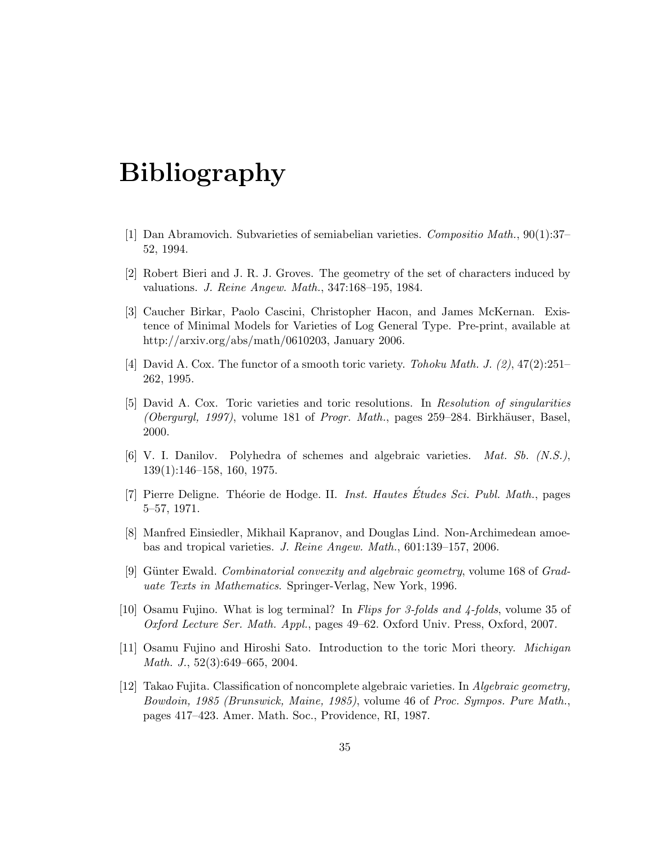# Bibliography

- [1] Dan Abramovich. Subvarieties of semiabelian varieties. Compositio Math., 90(1):37– 52, 1994.
- [2] Robert Bieri and J. R. J. Groves. The geometry of the set of characters induced by valuations. J. Reine Angew. Math., 347:168–195, 1984.
- [3] Caucher Birkar, Paolo Cascini, Christopher Hacon, and James McKernan. Existence of Minimal Models for Varieties of Log General Type. Pre-print, available at http://arxiv.org/abs/math/0610203, January 2006.
- [4] David A. Cox. The functor of a smooth toric variety. Tohoku Math. J.  $(2)$ ,  $47(2):251-$ 262, 1995.
- [5] David A. Cox. Toric varieties and toric resolutions. In Resolution of singularities (Obergurgl, 1997), volume 181 of Progr. Math., pages  $259-284$ . Birkhäuser, Basel, 2000.
- [6] V. I. Danilov. Polyhedra of schemes and algebraic varieties. Mat. Sb. (N.S.), 139(1):146–158, 160, 1975.
- [7] Pierre Deligne. Théorie de Hodge. II. Inst. Hautes Études Sci. Publ. Math., pages 5–57, 1971.
- [8] Manfred Einsiedler, Mikhail Kapranov, and Douglas Lind. Non-Archimedean amoebas and tropical varieties. J. Reine Angew. Math., 601:139–157, 2006.
- [9] Günter Ewald. *Combinatorial convexity and algebraic geometry*, volume 168 of *Grad*uate Texts in Mathematics. Springer-Verlag, New York, 1996.
- [10] Osamu Fujino. What is log terminal? In Flips for 3-folds and 4-folds, volume 35 of Oxford Lecture Ser. Math. Appl., pages 49–62. Oxford Univ. Press, Oxford, 2007.
- [11] Osamu Fujino and Hiroshi Sato. Introduction to the toric Mori theory. Michigan Math. J., 52(3):649–665, 2004.
- [12] Takao Fujita. Classification of noncomplete algebraic varieties. In Algebraic geometry, Bowdoin, 1985 (Brunswick, Maine, 1985), volume 46 of Proc. Sympos. Pure Math., pages 417–423. Amer. Math. Soc., Providence, RI, 1987.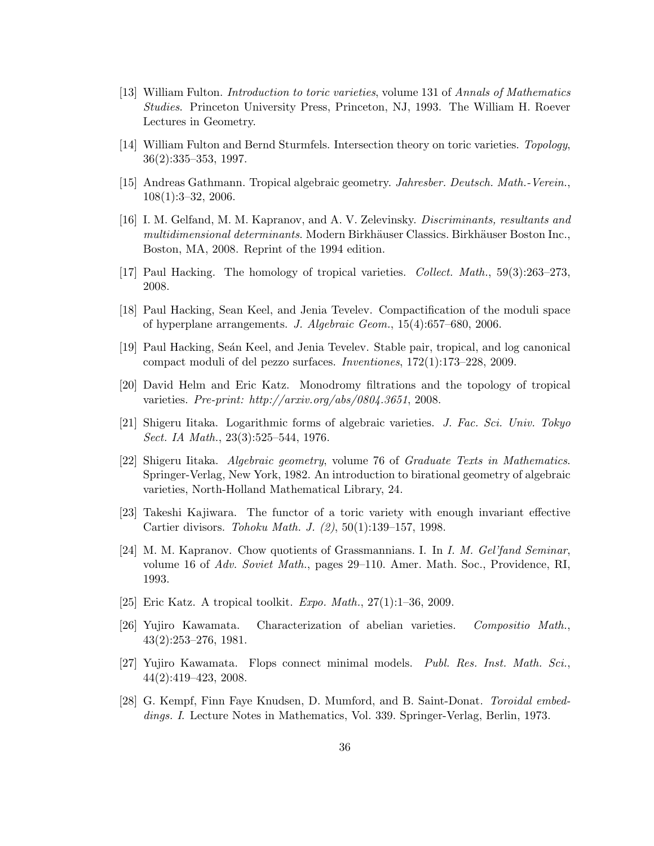- [13] William Fulton. Introduction to toric varieties, volume 131 of Annals of Mathematics Studies. Princeton University Press, Princeton, NJ, 1993. The William H. Roever Lectures in Geometry.
- [14] William Fulton and Bernd Sturmfels. Intersection theory on toric varieties. Topology, 36(2):335–353, 1997.
- [15] Andreas Gathmann. Tropical algebraic geometry. Jahresber. Deutsch. Math.-Verein., 108(1):3–32, 2006.
- [16] I. M. Gelfand, M. M. Kapranov, and A. V. Zelevinsky. Discriminants, resultants and multidimensional determinants. Modern Birkhäuser Classics. Birkhäuser Boston Inc., Boston, MA, 2008. Reprint of the 1994 edition.
- [17] Paul Hacking. The homology of tropical varieties. Collect. Math., 59(3):263–273, 2008.
- [18] Paul Hacking, Sean Keel, and Jenia Tevelev. Compactification of the moduli space of hyperplane arrangements. J. Algebraic Geom., 15(4):657–680, 2006.
- [19] Paul Hacking, Se´an Keel, and Jenia Tevelev. Stable pair, tropical, and log canonical compact moduli of del pezzo surfaces. Inventiones, 172(1):173–228, 2009.
- [20] David Helm and Eric Katz. Monodromy filtrations and the topology of tropical varieties. Pre-print: http://arxiv.org/abs/0804.3651, 2008.
- [21] Shigeru Iitaka. Logarithmic forms of algebraic varieties. J. Fac. Sci. Univ. Tokyo Sect. IA Math., 23(3):525–544, 1976.
- [22] Shigeru Iitaka. Algebraic geometry, volume 76 of Graduate Texts in Mathematics. Springer-Verlag, New York, 1982. An introduction to birational geometry of algebraic varieties, North-Holland Mathematical Library, 24.
- [23] Takeshi Kajiwara. The functor of a toric variety with enough invariant effective Cartier divisors. Tohoku Math. J. (2), 50(1):139–157, 1998.
- [24] M. M. Kapranov. Chow quotients of Grassmannians. I. In I. M. Gel'fand Seminar, volume 16 of Adv. Soviet Math., pages 29–110. Amer. Math. Soc., Providence, RI, 1993.
- [25] Eric Katz. A tropical toolkit. *Expo. Math.*,  $27(1):1-36$ ,  $2009$ .
- [26] Yujiro Kawamata. Characterization of abelian varieties. Compositio Math., 43(2):253–276, 1981.
- [27] Yujiro Kawamata. Flops connect minimal models. Publ. Res. Inst. Math. Sci., 44(2):419–423, 2008.
- [28] G. Kempf, Finn Faye Knudsen, D. Mumford, and B. Saint-Donat. Toroidal embeddings. I. Lecture Notes in Mathematics, Vol. 339. Springer-Verlag, Berlin, 1973.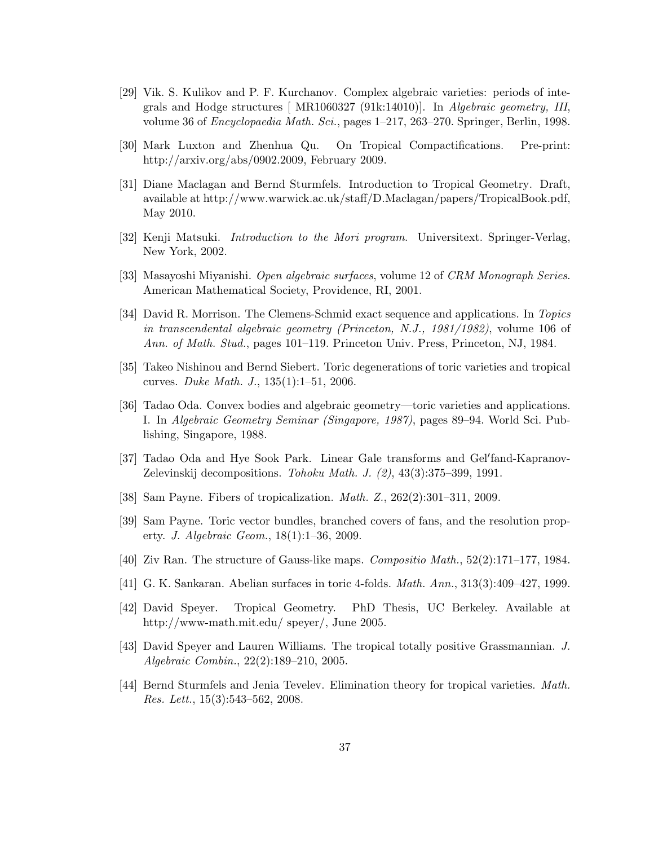- [29] Vik. S. Kulikov and P. F. Kurchanov. Complex algebraic varieties: periods of integrals and Hodge structures [ MR1060327 (91k:14010)]. In Algebraic geometry, III, volume 36 of Encyclopaedia Math. Sci., pages 1–217, 263–270. Springer, Berlin, 1998.
- [30] Mark Luxton and Zhenhua Qu. On Tropical Compactifications. Pre-print: http://arxiv.org/abs/0902.2009, February 2009.
- [31] Diane Maclagan and Bernd Sturmfels. Introduction to Tropical Geometry. Draft, available at http://www.warwick.ac.uk/staff/D.Maclagan/papers/TropicalBook.pdf, May 2010.
- [32] Kenji Matsuki. Introduction to the Mori program. Universitext. Springer-Verlag, New York, 2002.
- [33] Masayoshi Miyanishi. Open algebraic surfaces, volume 12 of CRM Monograph Series. American Mathematical Society, Providence, RI, 2001.
- [34] David R. Morrison. The Clemens-Schmid exact sequence and applications. In Topics in transcendental algebraic geometry (Princeton, N.J., 1981/1982), volume 106 of Ann. of Math. Stud., pages 101–119. Princeton Univ. Press, Princeton, NJ, 1984.
- [35] Takeo Nishinou and Bernd Siebert. Toric degenerations of toric varieties and tropical curves. Duke Math. J., 135(1):1–51, 2006.
- [36] Tadao Oda. Convex bodies and algebraic geometry—toric varieties and applications. I. In Algebraic Geometry Seminar (Singapore, 1987), pages 89–94. World Sci. Publishing, Singapore, 1988.
- [37] Tadao Oda and Hye Sook Park. Linear Gale transforms and Gel'fand-Kapranov-Zelevinskij decompositions. Tohoku Math. J.  $(2)$ ,  $43(3):375-399$ , 1991.
- [38] Sam Payne. Fibers of tropicalization. Math. Z., 262(2):301–311, 2009.
- [39] Sam Payne. Toric vector bundles, branched covers of fans, and the resolution property. J. Algebraic Geom., 18(1):1–36, 2009.
- [40] Ziv Ran. The structure of Gauss-like maps. Compositio Math., 52(2):171–177, 1984.
- [41] G. K. Sankaran. Abelian surfaces in toric 4-folds. Math. Ann., 313(3):409–427, 1999.
- [42] David Speyer. Tropical Geometry. PhD Thesis, UC Berkeley. Available at http://www-math.mit.edu/ speyer/, June 2005.
- [43] David Speyer and Lauren Williams. The tropical totally positive Grassmannian. J. Algebraic Combin., 22(2):189–210, 2005.
- [44] Bernd Sturmfels and Jenia Tevelev. Elimination theory for tropical varieties. Math. Res. Lett., 15(3):543–562, 2008.